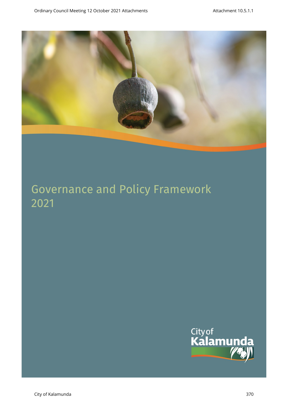

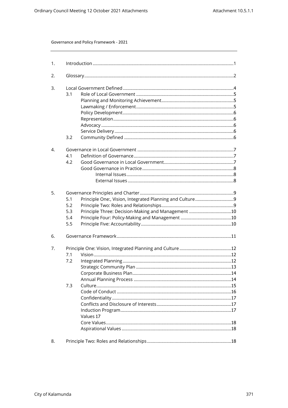| 1. |                                                                                       |  |
|----|---------------------------------------------------------------------------------------|--|
| 2. |                                                                                       |  |
| 3. | 3.1<br>3.2                                                                            |  |
| 4. | 4.1<br>4.2                                                                            |  |
| 5. | 5.1<br>5.2<br>Principle Three: Decision-Making and Management 10<br>5.3<br>5.4<br>5.5 |  |
| 6. |                                                                                       |  |
| 7. | 7.1<br>7.2<br>7.3<br>Values 17                                                        |  |
| 8. |                                                                                       |  |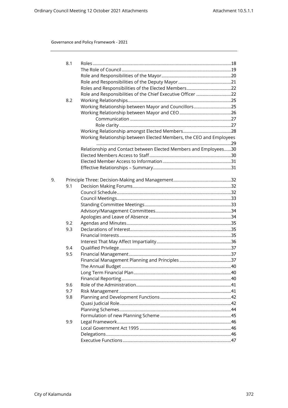|    | 8.1 |                                                                     |  |
|----|-----|---------------------------------------------------------------------|--|
|    |     |                                                                     |  |
|    |     |                                                                     |  |
|    |     |                                                                     |  |
|    |     |                                                                     |  |
|    |     | Role and Responsibilities of the Chief Executive Officer 22         |  |
|    | 8.2 |                                                                     |  |
|    |     | Working Relationship between Mayor and Councillors25                |  |
|    |     |                                                                     |  |
|    |     |                                                                     |  |
|    |     |                                                                     |  |
|    |     |                                                                     |  |
|    |     |                                                                     |  |
|    |     | Working Relationship between Elected Members, the CEO and Employees |  |
|    |     | Relationship and Contact between Elected Members and Employees30    |  |
|    |     |                                                                     |  |
|    |     |                                                                     |  |
|    |     |                                                                     |  |
|    |     |                                                                     |  |
| 9. |     |                                                                     |  |
|    | 9.1 |                                                                     |  |
|    |     |                                                                     |  |
|    |     |                                                                     |  |
|    |     |                                                                     |  |
|    |     |                                                                     |  |
|    |     |                                                                     |  |
|    | 9.2 |                                                                     |  |
|    | 9.3 |                                                                     |  |
|    |     |                                                                     |  |
|    |     |                                                                     |  |
|    | 9.4 |                                                                     |  |
|    | 9.5 |                                                                     |  |
|    |     |                                                                     |  |
|    |     |                                                                     |  |
|    |     |                                                                     |  |
|    |     |                                                                     |  |
|    | 9.6 |                                                                     |  |
|    | 9.7 |                                                                     |  |
|    | 9.8 |                                                                     |  |
|    |     |                                                                     |  |
|    |     |                                                                     |  |
|    |     |                                                                     |  |
|    | 9.9 |                                                                     |  |
|    |     |                                                                     |  |
|    |     |                                                                     |  |
|    |     |                                                                     |  |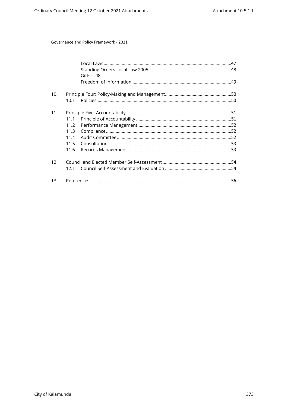| Gifts 48 |  |
|----------|--|
|          |  |
|          |  |
| 10.1     |  |
|          |  |
| 11.1     |  |
| 11.2     |  |
| 11.3     |  |
| 11.4     |  |
| 11.5     |  |
| 11.6     |  |
|          |  |
| 121      |  |
|          |  |
|          |  |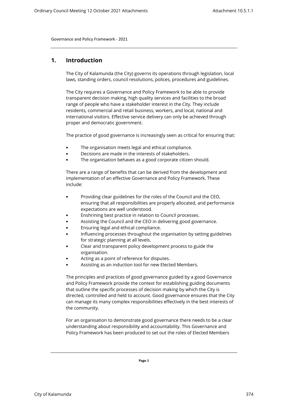# <span id="page-4-0"></span>**1. Introduction**

The City of Kalamunda (the City) governs its operations through legislation, local laws, standing orders, council resolutions, polices, procedures and guidelines.

The City requires a Governance and Policy Framework to be able to provide transparent decision making, high quality services and facilities to the broad range of people who have a stakeholder interest in the City. They include residents, commercial and retail business, workers, and local, national and international visitors. Effective service delivery can only be achieved through proper and democratic government.

The practice of good governance is increasingly seen as critical for ensuring that:

- The organisation meets legal and ethical compliance.
- Decisions are made in the interests of stakeholders.
- The organisation behaves as a good corporate citizen should.

There are a range of benefits that can be derived from the development and implementation of an effective Governance and Policy Framework. These include:

- Providing clear guidelines for the roles of the Council and the CEO, ensuring that all responsibilities are properly allocated, and performance expectations are well understood.
- Enshrining best practice in relation to Council processes.
- Assisting the Council and the CEO in delivering good governance.
- Ensuring legal and ethical compliance.
- Influencing processes throughout the organisation by setting guidelines for strategic planning at all levels.
- Clear and transparent policy development process to guide the organisation.
- Acting as a point of reference for disputes.
- Assisting as an induction tool for new Elected Members.

The principles and practices of good governance guided by a good Governance and Policy Framework provide the context for establishing guiding documents that outline the specific processes of decision making by which the City is directed, controlled and held to account. Good governance ensures that the City can manage its many complex responsibilities effectively in the best interests of the community.

For an organisation to demonstrate good governance there needs to be a clear understanding about responsibility and accountability. This Governance and Policy Framework has been produced to set out the roles of Elected Members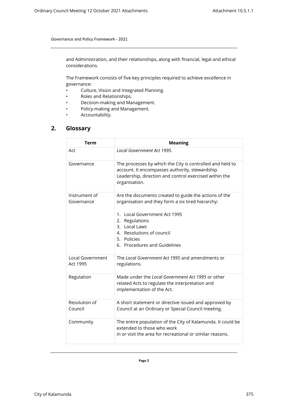and Administration, and their relationships, along with financial, legal and ethical considerations.

The Framework consists of five key principles required to achieve excellence in governance:

- Culture, Vision and Integrated Planning.
- Roles and Relationships.
- Decision-making and Management.
- Policy-making and Management.
- Accountability.

# <span id="page-5-0"></span>**2. Glossary**

| Term                         | <b>Meaning</b>                                                                                                                                                                                                                                                  |
|------------------------------|-----------------------------------------------------------------------------------------------------------------------------------------------------------------------------------------------------------------------------------------------------------------|
| Act                          | Local Government Act 1995.                                                                                                                                                                                                                                      |
| Governance                   | The processes by which the City is controlled and held to<br>account. It encompasses authority, stewardship.<br>Leadership, direction and control exercised within the<br>organisation.                                                                         |
| Instrument of<br>Governance  | Are the documents created to guide the actions of the<br>organisation and they form a six tired hierarchy:<br>Local Government Act 1995<br>1.<br>Regulations<br>2.<br>3. Local Laws<br>4. Resolutions of council<br>5. Policies<br>6. Procedures and Guidelines |
| Local Government<br>Act 1995 | The Local Government Act 1995 and amendments or<br>regulations.                                                                                                                                                                                                 |
| Regulation                   | Made under the Local Government Act 1995 or other<br>related Acts to regulate the interpretation and<br>implementation of the Act.                                                                                                                              |
| Resolution of<br>Council     | A short statement or directive issued and approved by<br>Council at an Ordinary or Special Council meeting.                                                                                                                                                     |
| Community                    | The entire population of the City of Kalamunda. It could be<br>extended to those who work<br>in or visit the area for recreational or similar reasons.                                                                                                          |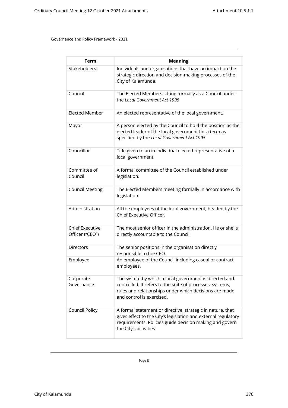| <b>Term</b>                               | <b>Meaning</b>                                                                                                                                                                                                    |
|-------------------------------------------|-------------------------------------------------------------------------------------------------------------------------------------------------------------------------------------------------------------------|
| Stakeholders                              | Individuals and organisations that have an impact on the<br>strategic direction and decision-making processes of the<br>City of Kalamunda.                                                                        |
| Council                                   | The Elected Members sitting formally as a Council under<br>the Local Government Act 1995.                                                                                                                         |
| <b>Elected Member</b>                     | An elected representative of the local government.                                                                                                                                                                |
| Mayor                                     | A person elected by the Council to hold the position as the<br>elected leader of the local government for a term as<br>specified by the Local Government Act 1995.                                                |
| Councillor                                | Title given to an in individual elected representative of a<br>local government.                                                                                                                                  |
| Committee of<br>Council                   | A formal committee of the Council established under<br>legislation.                                                                                                                                               |
| <b>Council Meeting</b>                    | The Elected Members meeting formally in accordance with<br>legislation.                                                                                                                                           |
| Administration                            | All the employees of the local government, headed by the<br>Chief Executive Officer.                                                                                                                              |
| <b>Chief Executive</b><br>Officer ("CEO") | The most senior officer in the administration. He or she is<br>directly accountable to the Council.                                                                                                               |
| <b>Directors</b>                          | The senior positions in the organisation directly<br>responsible to the CEO.                                                                                                                                      |
| Employee                                  | An employee of the Council including casual or contract<br>employees.                                                                                                                                             |
| Corporate<br>Governance                   | The system by which a local government is directed and<br>controlled. It refers to the suite of processes, systems,<br>rules and relationships under which decisions are made<br>and control is exercised.        |
| Council Policy                            | A formal statement or directive, strategic in nature, that<br>gives effect to the City's legislation and external regulatory<br>requirements. Policies guide decision making and govern<br>the City's activities. |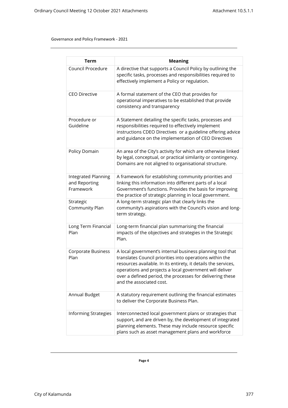| <b>Term</b>                                       | <b>Meaning</b>                                                                                                                                                                                                                                                                                                                              |
|---------------------------------------------------|---------------------------------------------------------------------------------------------------------------------------------------------------------------------------------------------------------------------------------------------------------------------------------------------------------------------------------------------|
| Council Procedure                                 | A directive that supports a Council Policy by outlining the<br>specific tasks, processes and responsibilities required to<br>effectively implement a Policy or regulation.                                                                                                                                                                  |
| <b>CEO Directive</b>                              | A formal statement of the CEO that provides for<br>operational imperatives to be established that provide<br>consistency and transparency                                                                                                                                                                                                   |
| Procedure or<br>Guideline                         | A Statement detailing the specific tasks, processes and<br>responsibilities required to effectively implement<br>instructions CDEO Directives or a guideline offering advice<br>and guidance on the implementation of CEO Directives                                                                                                        |
| Policy Domain                                     | An area of the City's activity for which are otherwise linked<br>by legal, conceptual, or practical similarity or contingency.<br>Domains are not aligned to organisational structure.                                                                                                                                                      |
| Integrated Planning<br>and Reporting<br>Framework | A framework for establishing community priorities and<br>linking this information into different parts of a local<br>Government's functions. Provides the basis for improving<br>the practice of strategic planning in local government.                                                                                                    |
| Strategic<br>Community Plan                       | A long-term strategic plan that clearly links the<br>community's aspirations with the Council's vision and long-<br>term strategy.                                                                                                                                                                                                          |
| Long Term Financial<br>Plan                       | Long-term financial plan summarising the financial<br>impacts of the objectives and strategies in the Strategic<br>Plan.                                                                                                                                                                                                                    |
| Corporate Business<br>Plan                        | A local government's internal business planning tool that<br>translates Council priorities into operations within the<br>resources available. In its entirety, it details the services,<br>operations and projects a local government will deliver<br>over a defined period, the processes for delivering these<br>and the associated cost. |
| Annual Budget                                     | A statutory requirement outlining the financial estimates<br>to deliver the Corporate Business Plan.                                                                                                                                                                                                                                        |
| <b>Informing Strategies</b>                       | Interconnected local government plans or strategies that<br>support, and are driven by, the development of integrated<br>planning elements. These may include resource specific<br>plans such as asset management plans and workforce                                                                                                       |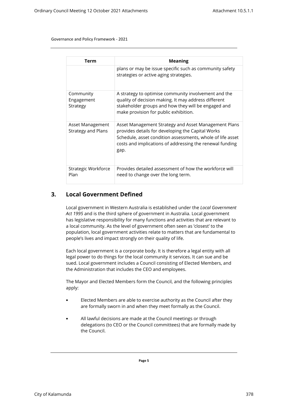| Term                                          | <b>Meaning</b>                                                                                                                                                                                                                              |
|-----------------------------------------------|---------------------------------------------------------------------------------------------------------------------------------------------------------------------------------------------------------------------------------------------|
|                                               | plans or may be issue specific such as community safety<br>strategies or active aging strategies.                                                                                                                                           |
| Community<br>Engagement<br>Strategy           | A strategy to optimise community involvement and the<br>quality of decision making. It may address different<br>stakeholder groups and how they will be engaged and<br>make provision for public exhibition.                                |
| Asset Management<br><b>Strategy and Plans</b> | Asset Management Strategy and Asset Management Plans<br>provides details for developing the Capital Works<br>Schedule, asset condition assessments, whole of life asset<br>costs and implications of addressing the renewal funding<br>gap. |
| Strategic Workforce<br>Plan                   | Provides detailed assessment of how the workforce will<br>need to change over the long term.                                                                                                                                                |

# <span id="page-8-0"></span>**3. Local Government Defined**

Local government in Western Australia is established under the *Local Government Act 1995* and is the third sphere of government in Australia. Local government has legislative responsibility for many functions and activities that are relevant to a local community. As the level of government often seen as 'closest' to the population, local government activities relate to matters that are fundamental to people's lives and impact strongly on their quality of life.

Each local government is a corporate body. It is therefore a legal entity with all legal power to do things for the local community it services. It can sue and be sued. Local government includes a Council consisting of Elected Members, and the Administration that includes the CEO and employees.

The Mayor and Elected Members form the Council, and the following principles apply:

- Elected Members are able to exercise authority as the Council after they are formally sworn in and when they meet formally as the Council.
- All lawful decisions are made at the Council meetings or through delegations (to CEO or the Council committees) that are formally made by the Council.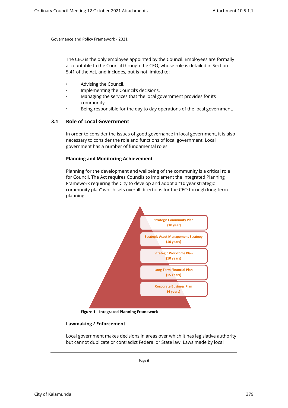The CEO is the only employee appointed by the Council. Employees are formally accountable to the Council through the CEO, whose role is detailed in Section 5.41 of the Act, and includes, but is not limited to:

- Advising the Council.
- Implementing the Council's decisions.
- Managing the services that the local government provides for its community.
- Being responsible for the day to day operations of the local government.

# <span id="page-9-0"></span>**3.1 Role of Local Government**

In order to consider the issues of good governance in local government, it is also necessary to consider the role and functions of local government. Local government has a number of fundamental roles:

#### <span id="page-9-1"></span>**Planning and Monitoring Achievement**

Planning for the development and wellbeing of the community is a critical role for Council. The Act requires Councils to implement the Integrated Planning Framework requiring the City to develop and adopt a "10 year strategic community plan" which sets overall directions for the CEO through long-term planning.



**Figure 1 – Integrated Planning Framework**

#### **Lawmaking / Enforcement**

<span id="page-9-2"></span>Local government makes decisions in areas over which it has legislative authority but cannot duplicate or contradict Federal or State law. Laws made by local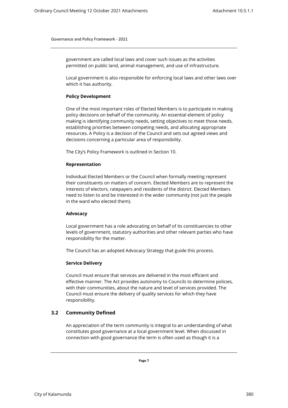government are called local laws and cover such issues as the activities permitted on public land, animal management, and use of infrastructure.

<span id="page-10-0"></span>Local government is also responsible for enforcing local laws and other laws over which it has authority.

#### **Policy Development**

One of the most important roles of Elected Members is to participate in making policy decisions on behalf of the community. An essential element of policy making is identifying community needs, setting objectives to meet those needs, establishing priorities between competing needs, and allocating appropriate resources. A Policy is a decision of the Council and sets out agreed views and decisions concerning a particular area of responsibility.

<span id="page-10-1"></span>The City's Policy Framework is outlined in Section 10.

#### **Representation**

Individual Elected Members or the Council when formally meeting represent their constituents on matters of concern. Elected Members are to represent the interests of electors, ratepayers and residents of the district. Elected Members need to listen to and be interested in the wider community (not just the people in the ward who elected them).

#### <span id="page-10-2"></span>**Advocacy**

Local government has a role advocating on behalf of its constituencies to other levels of government, statutory authorities and other relevant parties who have responsibility for the matter.

The Council has an adopted Advocacy Strategy that guide this process.

#### **Service Delivery**

<span id="page-10-3"></span>Council must ensure that services are delivered in the most efficient and effective manner. The Act provides autonomy to Councils to determine policies, with their communities, about the nature and level of services provided. The Council must ensure the delivery of quality services for which they have responsibility.

#### <span id="page-10-4"></span>**3.2 Community Defined**

An appreciation of the term community is integral to an understanding of what constitutes good governance at a local government level. When discussed in connection with good governance the term is often used as though it is a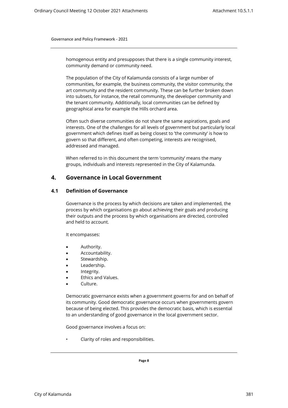homogenous entity and presupposes that there is a single community interest, community demand or community need.

The population of the City of Kalamunda consists of a large number of communities, for example, the business community, the visitor community, the art community and the resident community. These can be further broken down into subsets, for instance, the retail community, the developer community and the tenant community. Additionally, local communities can be defined by geographical area for example the Hills orchard area.

Often such diverse communities do not share the same aspirations, goals and interests. One of the challenges for all levels of government but particularly local government which defines itself as being closest to 'the community' is how to govern so that different, and often competing, interests are recognised, addressed and managed.

When referred to in this document the term 'community' means the many groups, individuals and interests represented in the City of Kalamunda.

# <span id="page-11-0"></span>**4. Governance in Local Government**

## <span id="page-11-1"></span>**4.1 Definition of Governance**

Governance is the process by which decisions are taken and implemented, the process by which organisations go about achieving their goals and producing their outputs and the process by which organisations are directed, controlled and held to account.

It encompasses:

- Authority.
- Accountability.
- Stewardship.
- Leadership.
- Integrity.
- Ethics and Values.
- Culture.

Democratic governance exists when a government governs for and on behalf of its community. Good democratic governance occurs when governments govern because of being elected. This provides the democratic basis, which is essential to an understanding of good governance in the local government sector.

Good governance involves a focus on:

• Clarity of roles and responsibilities.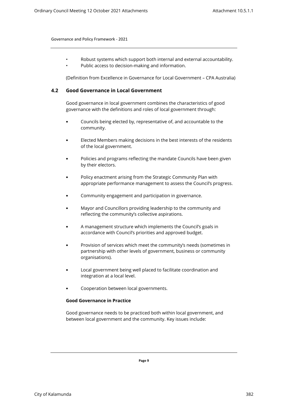• Robust systems which support both internal and external accountability. Public access to decision-making and information.

(Definition from Excellence in Governance for Local Government – CPA Australia)

# <span id="page-12-0"></span>**4.2 Good Governance in Local Government**

Good governance in local government combines the characteristics of good governance with the definitions and roles of local government through:

- Councils being elected by, representative of, and accountable to the community.
- Elected Members making decisions in the best interests of the residents of the local government.
- Policies and programs reflecting the mandate Councils have been given by their electors.
- Policy enactment arising from the Strategic Community Plan with appropriate performance management to assess the Council's progress.
- Community engagement and participation in governance.
- Mayor and Councillors providing leadership to the community and reflecting the community's collective aspirations.
- A management structure which implements the Council's goals in accordance with Council's priorities and approved budget.
- Provision of services which meet the community's needs (sometimes in partnership with other levels of government, business or community organisations).
- Local government being well placed to facilitate coordination and integration at a local level.
- Cooperation between local governments.

#### **Good Governance in Practice**

<span id="page-12-1"></span>Good governance needs to be practiced both within local government, and between local government and the community. Key issues include: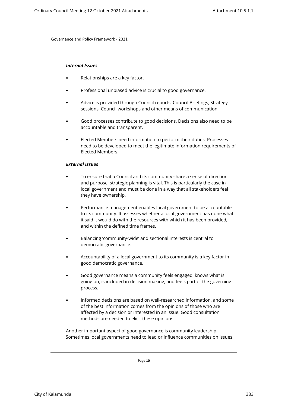#### <span id="page-13-0"></span>*Internal Issues*

- Relationships are a key factor.
- Professional unbiased advice is crucial to good governance.
- Advice is provided through Council reports, Council Briefings, Strategy sessions, Council workshops and other means of communication.
- Good processes contribute to good decisions. Decisions also need to be accountable and transparent.
- Elected Members need information to perform their duties. Processes need to be developed to meet the legitimate information requirements of Elected Members.

#### <span id="page-13-1"></span>*External Issues*

- To ensure that a Council and its community share a sense of direction and purpose, strategic planning is vital. This is particularly the case in local government and must be done in a way that all stakeholders feel they have ownership.
- Performance management enables local government to be accountable to its community. It assesses whether a local government has done what it said it would do with the resources with which it has been provided, and within the defined time frames.
- Balancing 'community-wide' and sectional interests is central to democratic governance.
- Accountability of a local government to its community is a key factor in good democratic governance.
- Good governance means a community feels engaged, knows what is going on, is included in decision making, and feels part of the governing process.
- Informed decisions are based on well-researched information, and some of the best information comes from the opinions of those who are affected by a decision or interested in an issue. Good consultation methods are needed to elicit these opinions.

Another important aspect of good governance is community leadership. Sometimes local governments need to lead or influence communities on issues.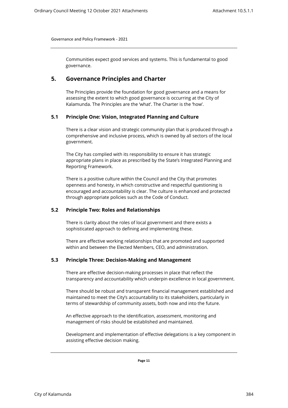Communities expect good services and systems. This is fundamental to good governance.

# <span id="page-14-0"></span>**5. Governance Principles and Charter**

The Principles provide the foundation for good governance and a means for assessing the extent to which good governance is occurring at the City of Kalamunda. The Principles are the 'what'. The Charter is the 'how'.

# <span id="page-14-1"></span>**5.1 Principle One: Vision, Integrated Planning and Culture**

There is a clear vision and strategic community plan that is produced through a comprehensive and inclusive process, which is owned by all sectors of the local government.

The City has complied with its responsibility to ensure it has strategic appropriate plans in place as prescribed by the State's Integrated Planning and Reporting Framework.

There is a positive culture within the Council and the City that promotes openness and honesty, in which constructive and respectful questioning is encouraged and accountability is clear. The culture is enhanced and protected through appropriate policies such as the Code of Conduct.

# <span id="page-14-2"></span>**5.2 Principle Two: Roles and Relationships**

There is clarity about the roles of local government and there exists a sophisticated approach to defining and implementing these.

There are effective working relationships that are promoted and supported within and between the Elected Members, CEO, and administration.

# <span id="page-14-3"></span>**5.3 Principle Three: Decision-Making and Management**

There are effective decision-making processes in place that reflect the transparency and accountability which underpin excellence in local government.

There should be robust and transparent financial management established and maintained to meet the City's accountability to its stakeholders, particularly in terms of stewardship of community assets, both now and into the future.

An effective approach to the identification, assessment, monitoring and management of risks should be established and maintained.

Development and implementation of effective delegations is a key component in assisting effective decision making.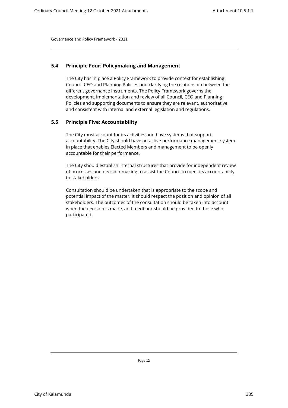# <span id="page-15-0"></span>**5.4 Principle Four: Policymaking and Management**

The City has in place a Policy Framework to provide context for establishing Council, CEO and Planning Policies and clarifying the relationship between the different governance instruments. The Policy Framework governs the development, implementation and review of all Council, CEO and Planning Policies and supporting documents to ensure they are relevant, authoritative and consistent with internal and external legislation and regulations.

## <span id="page-15-1"></span>**5.5 Principle Five: Accountability**

The City must account for its activities and have systems that support accountability. The City should have an active performance management system in place that enables Elected Members and management to be openly accountable for their performance.

The City should establish internal structures that provide for independent review of processes and decision-making to assist the Council to meet its accountability to stakeholders.

Consultation should be undertaken that is appropriate to the scope and potential impact of the matter. It should respect the position and opinion of all stakeholders. The outcomes of the consultation should be taken into account when the decision is made, and feedback should be provided to those who participated.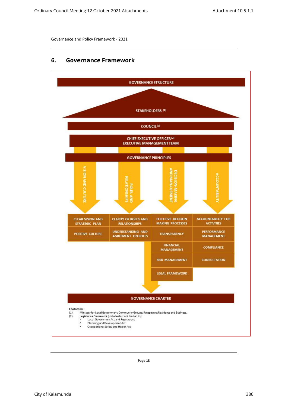# <span id="page-16-0"></span>**6. Governance Framework**

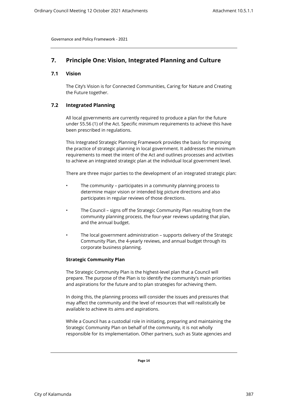# <span id="page-17-1"></span><span id="page-17-0"></span>**7. Principle One: Vision, Integrated Planning and Culture**

# <span id="page-17-2"></span>**7.1 Vision**

The City's Vision is for Connected Communities, Caring for Nature and Creating the Future together.

# **7.2 Integrated Planning**

All local governments are currently required to produce a plan for the future under S5.56 (1) of the Act. Specific minimum requirements to achieve this have been prescribed in regulations.

This Integrated Strategic Planning Framework provides the basis for improving the practice of strategic planning in local government. It addresses the minimum requirements to meet the intent of the Act and outlines processes and activities to achieve an integrated strategic plan at the individual local government level.

There are three major parties to the development of an integrated strategic plan:

- The community participates in a community planning process to determine major vision or intended big picture directions and also participates in regular reviews of those directions.
- The Council signs off the Strategic Community Plan resulting from the community planning process, the four-year reviews updating that plan, and the annual budget.
- The local government administration supports delivery of the Strategic Community Plan, the 4-yearly reviews, and annual budget through its corporate business planning.

# **Strategic Community Plan**

<span id="page-17-3"></span>The Strategic Community Plan is the highest-level plan that a Council will prepare. The purpose of the Plan is to identify the community's main priorities and aspirations for the future and to plan strategies for achieving them.

In doing this, the planning process will consider the issues and pressures that may affect the community and the level of resources that will realistically be available to achieve its aims and aspirations.

While a Council has a custodial role in initiating, preparing and maintaining the Strategic Community Plan on behalf of the community, it is not wholly responsible for its implementation. Other partners, such as State agencies and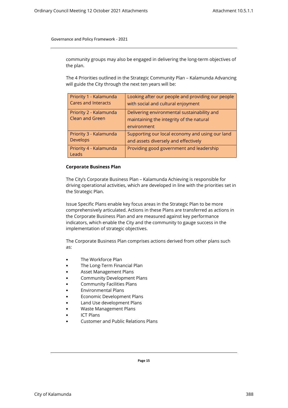community groups may also be engaged in delivering the long-term objectives of the plan.

The 4 Priorities outlined in the Strategic Community Plan – Kalamunda Advancing will guide the City through the next ten years will be:

| Priority 1 - Kalamunda<br><b>Cares and Interacts</b> | Looking after our people and providing our people<br>with social and cultural enjoyment |
|------------------------------------------------------|-----------------------------------------------------------------------------------------|
| Priority 2 - Kalamunda<br><b>Clean and Green</b>     | Delivering environmental sustainability and                                             |
|                                                      | maintaining the integrity of the natural<br>environment                                 |
| Priority 3 - Kalamunda<br><b>Develops</b>            | Supporting our local economy and using our land<br>and assets diversely and effectively |
| Priority 4 - Kalamunda<br>Leads                      | Providing good government and leadership                                                |

#### <span id="page-18-0"></span>**Corporate Business Plan**

The City's Corporate Business Plan – Kalamunda Achieving is responsible for driving operational activities, which are developed in line with the priorities set in the Strategic Plan.

Issue Specific Plans enable key focus areas in the Strategic Plan to be more comprehensively articulated. Actions in these Plans are transferred as actions in the Corporate Business Plan and are measured against key performance indicators, which enable the City and the community to gauge success in the implementation of strategic objectives.

The Corporate Business Plan comprises actions derived from other plans such as:

- The Workforce Plan
- The Long-Term Financial Plan
- Asset Management Plans
- Community Development Plans
- Community Facilities Plans
- Environmental Plans
- Economic Development Plans
- Land Use development Plans
- Waste Management Plans
- ICT Plans
- Customer and Public Relations Plans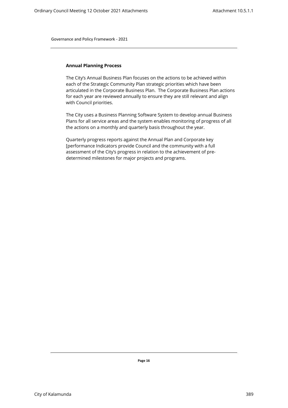#### <span id="page-19-0"></span>**Annual Planning Process**

The City's Annual Business Plan focuses on the actions to be achieved within each of the Strategic Community Plan strategic priorities which have been articulated in the Corporate Business Plan. The Corporate Business Plan actions for each year are reviewed annually to ensure they are still relevant and align with Council priorities.

The City uses a Business Planning Software System to develop annual Business Plans for all service areas and the system enables monitoring of progress of all the actions on a monthly and quarterly basis throughout the year.

Quarterly progress reports against the Annual Plan and Corporate key [performance Indicators provide Council and the community with a full assessment of the City's progress in relation to the achievement of predetermined milestones for major projects and programs.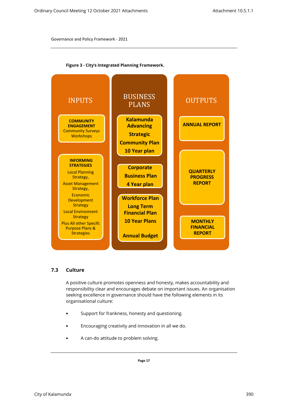

**Figure 3 - City's Integrated Planning Framework.** 

# <span id="page-20-0"></span>**7.3 Culture**

A positive culture promotes openness and honesty, makes accountability and responsibility clear and encourages debate on important issues. An organisation seeking excellence in governance should have the following elements in its organisational culture:

- Support for frankness, honesty and questioning.
- Encouraging creativity and innovation in all we do.
- A can-do attitude to problem solving.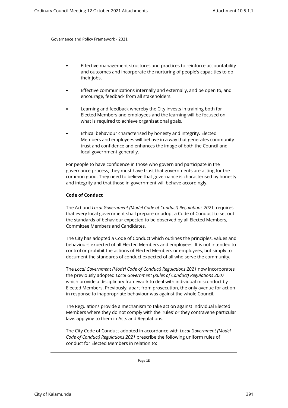- Effective management structures and practices to reinforce accountability and outcomes and incorporate the nurturing of people's capacities to do their jobs.
- Effective communications internally and externally, and be open to, and encourage, feedback from all stakeholders.
- Learning and feedback whereby the City invests in training both for Elected Members and employees and the learning will be focused on what is required to achieve organisational goals.
- Ethical behaviour characterised by honesty and integrity. Elected Members and employees will behave in a way that generates community trust and confidence and enhances the image of both the Council and local government generally.

For people to have confidence in those who govern and participate in the governance process, they must have trust that governments are acting for the common good. They need to believe that governance is characterised by honesty and integrity and that those in government will behave accordingly.

#### <span id="page-21-0"></span>**Code of Conduct**

The Act and *Local Government (Model Code of Conduct) Regulations 2021*, requires that every local government shall prepare or adopt a Code of Conduct to set out the standards of behaviour expected to be observed by all Elected Members, Committee Members and Candidates.

The City has adopted a Code of Conduct which outlines the principles, values and behaviours expected of all Elected Members and employees. It is not intended to control or prohibit the actions of Elected Members or employees, but simply to document the standards of conduct expected of all who serve the community.

The *Local Government (Model Code of Conduct) Regulations 2021* now incorporates the previously adopted *Local Government (Rules of Conduct) Regulations 2007* which provide a disciplinary framework to deal with individual misconduct by Elected Members. Previously, apart from prosecution, the only avenue for action in response to inappropriate behaviour was against the whole Council.

The Regulations provide a mechanism to take action against individual Elected Members where they do not comply with the 'rules' or they contravene particular laws applying to them in Acts and Regulations.

The City Code of Conduct adopted in accordance with *Local Government (Model Code of Conduct) Regulations 2021* prescribe the following uniform rules of conduct for Elected Members in relation to: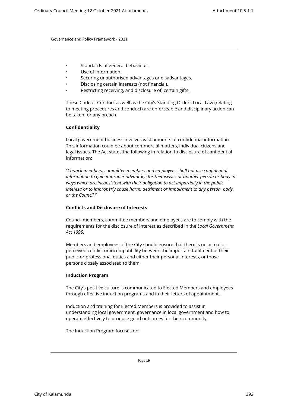- Standards of general behaviour.
- Use of information.
- Securing unauthorised advantages or disadvantages.
- Disclosing certain interests (not financial).
- Restricting receiving, and disclosure of, certain gifts.

<span id="page-22-0"></span>These Code of Conduct as well as the City's Standing Orders Local Law (relating to meeting procedures and conduct) are enforceable and disciplinary action can be taken for any breach.

## **Confidentiality**

Local government business involves vast amounts of confidential information. This information could be about commercial matters, individual citizens and legal issues. The Act states the following in relation to disclosure of confidential information:

"*Council members, committee members and employees shall not use confidential information to gain improper advantage for themselves or another person or body in ways which are inconsistent with their obligation to act impartially in the public interest; or to improperly cause harm, detriment or impairment to any person, body, or the Council."*

## <span id="page-22-1"></span>**Conflicts and Disclosure of Interests**

Council members, committee members and employees are to comply with the requirements for the disclosure of interest as described in the *Local Government Act 1995.*

Members and employees of the City should ensure that there is no actual or perceived conflict or incompatibility between the important fulfilment of their public or professional duties and either their personal interests, or those persons closely associated to them.

#### **Induction Program**

<span id="page-22-2"></span>The City's positive culture is communicated to Elected Members and employees through effective induction programs and in their letters of appointment.

Induction and training for Elected Members is provided to assist in understanding local government, governance in local government and how to operate effectively to produce good outcomes for their community.

The Induction Program focuses on: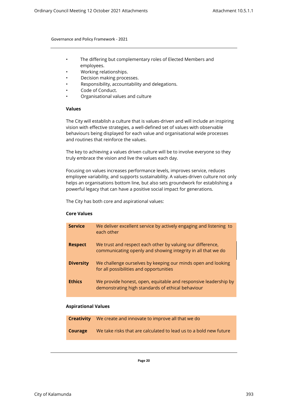- The differing but complementary roles of Elected Members and employees.
- Working relationships.
- Decision making processes.
- Responsibility, accountability and delegations.
- <span id="page-23-0"></span>Code of Conduct.
- Organisational values and culture

#### **Values**

The City will establish a culture that is values-driven and will include an inspiring vision with effective strategies, a well-defined set of values with observable behaviours being displayed for each value and organisational wide processes and routines that reinforce the values.

The key to achieving a values driven culture will be to involve everyone so they truly embrace the vision and live the values each day.

Focusing on values increases performance levels, improves service, reduces employee variability, and supports sustainability. A values-driven culture not only helps an organisations bottom line, but also sets groundwork for establishing a powerful legacy that can have a positive social impact for generations.

The City has both core and aspirational values:

# <span id="page-23-1"></span>**Core Values**

| <b>Service</b>   | We deliver excellent service by actively engaging and listening to<br>each other                                           |
|------------------|----------------------------------------------------------------------------------------------------------------------------|
| <b>Respect</b>   | We trust and respect each other by valuing our difference,<br>communicating openly and showing integrity in all that we do |
| <b>Diversity</b> | We challenge ourselves by keeping our minds open and looking<br>for all possibilities and opportunities                    |
| <b>Ethics</b>    | We provide honest, open, equitable and responsive leadership by<br>demonstrating high standards of ethical behaviour       |

#### **Aspirational Values**

<span id="page-23-2"></span>

|         | <b>Creativity</b> We create and innovate to improve all that we do |
|---------|--------------------------------------------------------------------|
| Courage | We take risks that are calculated to lead us to a bold new future  |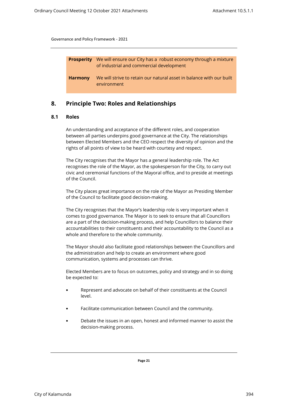| <b>Prosperity</b> | We will ensure our City has a robust economy through a mixture<br>of industrial and commercial development |
|-------------------|------------------------------------------------------------------------------------------------------------|
| <b>Harmony</b>    | We will strive to retain our natural asset in balance with our built<br>environment                        |

# <span id="page-24-1"></span><span id="page-24-0"></span>**8. Principle Two: Roles and Relationships**

## **8.1 Roles**

An understanding and acceptance of the different roles, and cooperation between all parties underpins good governance at the City. The relationships between Elected Members and the CEO respect the diversity of opinion and the rights of all points of view to be heard with courtesy and respect.

The City recognises that the Mayor has a general leadership role. The Act recognises the role of the Mayor, as the spokesperson for the City, to carry out civic and ceremonial functions of the Mayoral office, and to preside at meetings of the Council.

The City places great importance on the role of the Mayor as Presiding Member of the Council to facilitate good decision-making.

The City recognises that the Mayor's leadership role is very important when it comes to good governance. The Mayor is to seek to ensure that all Councillors are a part of the decision-making process, and help Councillors to balance their accountabilities to their constituents and their accountability to the Council as a whole and therefore to the whole community.

The Mayor should also facilitate good relationships between the Councillors and the administration and help to create an environment where good communication, systems and processes can thrive.

Elected Members are to focus on outcomes, policy and strategy and in so doing be expected to:

- Represent and advocate on behalf of their constituents at the Council level.
- Facilitate communication between Council and the community.
- Debate the issues in an open, honest and informed manner to assist the decision-making process.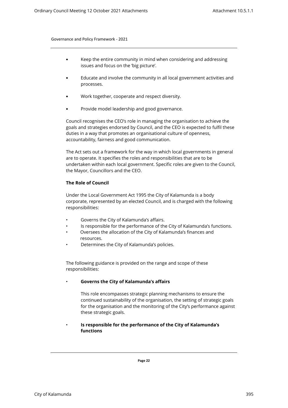- Keep the entire community in mind when considering and addressing issues and focus on the 'big picture'.
- Educate and involve the community in all local government activities and processes.
- Work together, cooperate and respect diversity.
- Provide model leadership and good governance.

Council recognises the CEO's role in managing the organisation to achieve the goals and strategies endorsed by Council, and the CEO is expected to fulfil these duties in a way that promotes an organisational culture of openness, accountability, fairness and good communication.

The Act sets out a framework for the way in which local governments in general are to operate. It specifies the roles and responsibilities that are to be undertaken within each local government. Specific roles are given to the Council, the Mayor, Councillors and the CEO.

# <span id="page-25-0"></span>**The Role of Council**

Under the Local Government Act 1995 the City of Kalamunda is a body corporate, represented by an elected Council, and is charged with the following responsibilities:

- Governs the City of Kalamunda's affairs.
- Is responsible for the performance of the City of Kalamunda's functions.
- Oversees the allocation of the City of Kalamunda's finances and resources.
- Determines the City of Kalamunda's policies.

The following guidance is provided on the range and scope of these responsibilities:

# • **Governs the City of Kalamunda's affairs**

This role encompasses strategic planning mechanisms to ensure the continued sustainability of the organisation, the setting of strategic goals for the organisation and the monitoring of the City's performance against these strategic goals.

# • **Is responsible for the performance of the City of Kalamunda's functions**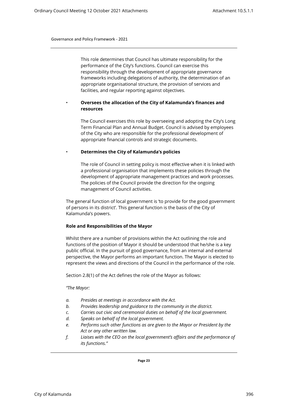This role determines that Council has ultimate responsibility for the performance of the City's functions. Council can exercise this responsibility through the development of appropriate governance frameworks including delegations of authority, the determination of an appropriate organisational structure, the provision of services and facilities, and regular reporting against objectives.

# • **Oversees the allocation of the City of Kalamunda's finances and resources**

The Council exercises this role by overseeing and adopting the City's Long Term Financial Plan and Annual Budget. Council is advised by employees of the City who are responsible for the professional development of appropriate financial controls and strategic documents.

## • **Determines the City of Kalamunda's policies**

The role of Council in setting policy is most effective when it is linked with a professional organisation that implements these policies through the development of appropriate management practices and work processes. The policies of the Council provide the direction for the ongoing management of Council activities.

The general function of local government is 'to provide for the good government of persons in its district'. This general function is the basis of the City of Kalamunda's powers.

#### <span id="page-26-0"></span>**Role and Responsibilities of the Mayor**

Whilst there are a number of provisions within the Act outlining the role and functions of the position of Mayor it should be understood that he/she is a key public official. In the pursuit of good governance, from an internal and external perspective, the Mayor performs an important function. The Mayor is elected to represent the views and directions of the Council in the performance of the role.

Section 2.8(1) of the Act defines the role of the Mayor as follows:

#### *"The Mayor:*

- *a. Presides at meetings in accordance with the Act.*
- *b. Provides leadership and guidance to the community in the district.*
- *c. Carries out civic and ceremonial duties on behalf of the local government.*
- *d. Speaks on behalf of the local government.*
- *e. Performs such other functions as are given to the Mayor or President by the Act or any other written law.*
- *f. Liaises with the CEO on the local government's affairs and the performance of its functions."*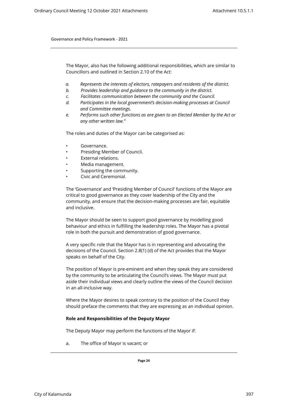The Mayor, also has the following additional responsibilities, which are similar to Councillors and outlined in Section 2.10 of the Act:

- *a. Represents the interests of electors, ratepayers and residents of the district.*
- *b. Provides leadership and guidance to the community in the district.*
- *c. Facilitates communication between the community and the Council.*
- *d. Participates in the local government's decision-making processes at Council and Committee meetings.*
- *e. Performs such other functions as are given to an Elected Member by the Act or any other written law."*

The roles and duties of the Mayor can be categorised as:

- Governance.
- Presiding Member of Council.
- External relations.
- Media management.
- Supporting the community.
- Civic and Ceremonial.

The 'Governance' and 'Presiding Member of Council' functions of the Mayor are critical to good governance as they cover leadership of the City and the community, and ensure that the decision-making processes are fair, equitable and inclusive.

The Mayor should be seen to support good governance by modelling good behaviour and ethics in fulfilling the leadership roles. The Mayor has a pivotal role in both the pursuit and demonstration of good governance.

A very specific role that the Mayor has is in representing and advocating the decisions of the Council. Section 2.8(1) (d) of the Act provides that the Mayor speaks on behalf of the City.

The position of Mayor is pre-eminent and when they speak they are considered by the community to be articulating the Council's views. The Mayor must put aside their individual views and clearly outline the views of the Council decision in an all-inclusive way.

Where the Mayor desires to speak contrary to the position of the Council they should preface the comments that they are expressing as an individual opinion.

#### **Role and Responsibilities of the Deputy Mayor**

The Deputy Mayor may perform the functions of the Mayor if:

<span id="page-27-0"></span>a. The office of Mayor is vacant; or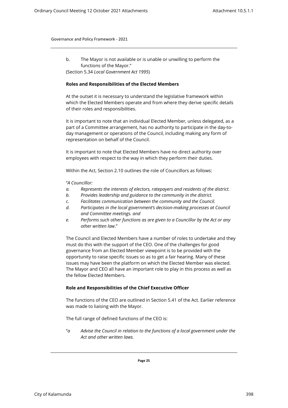<span id="page-28-0"></span>b. The Mayor is not available or is unable or unwilling to perform the functions of the Mayor." (Section 5.34 *Local Government Act 1995*)

#### **Roles and Responsibilities of the Elected Members**

At the outset it is necessary to understand the legislative framework within which the Elected Members operate and from where they derive specific details of their roles and responsibilities.

It is important to note that an individual Elected Member, unless delegated, as a part of a Committee arrangement, has no authority to participate in the day-today management or operations of the Council, including making any form of representation on behalf of the Council.

It is important to note that Elected Members have no direct authority over employees with respect to the way in which they perform their duties.

Within the Act, Section 2.10 outlines the role of Councillors as follows:

"*A Councillor:*

- *a. Represents the interests of electors, ratepayers and residents of the district.*
- *b. Provides leadership and guidance to the community in the district.*
- *c. Facilitates communication between the community and the Council.*
- *d. Participates in the local government's decision-making processes at Council and Committee meetings. and*
- *e. Performs such other functions as are given to a Councillor by the Act or any other written law*."

The Council and Elected Members have a number of roles to undertake and they must do this with the support of the CEO. One of the challenges for good governance from an Elected Member viewpoint is to be provided with the opportunity to raise specific issues so as to get a fair hearing. Many of these issues may have been the platform on which the Elected Member was elected. The Mayor and CEO all have an important role to play in this process as well as the fellow Elected Members.

#### **Role and Responsibilities of the Chief Executive Officer**

<span id="page-28-1"></span>The functions of the CEO are outlined in Section 5.41 of the Act. Earlier reference was made to liaising with the Mayor.

The full range of defined functions of the CEO is:

"*a Advise the Council in relation to the functions of a local government under the Act and other written laws.*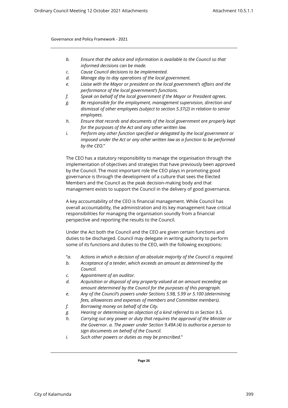- *b. Ensure that the advice and information is available to the Council so that informed decisions can be made.*
- *c. Cause Council decisions to be implemented.*
- *d. Manage day to day operations of the local government.*
- *e. Liaise with the Mayor or president on the local government's affairs and the performance of the local government's functions.*
- *f. Speak on behalf of the local government if the Mayor or President agrees.*
- *g. Be responsible for the employment, management supervision, direction and dismissal of other employees (subject to section 5.37(2) in relation to senior employees.*
- *h. Ensure that records and documents of the local government are properly kept for the purposes of the Act and any other written law.*
- *i. Perform any other function specified or delegated by the local government or imposed under the Act or any other written law as a function to be performed by the CEO.*"

The CEO has a statutory responsibility to manage the organisation through the implementation of objectives and strategies that have previously been approved by the Council. The most important role the CEO plays in promoting good governance is through the development of a culture that sees the Elected Members and the Council as the peak decision-making body and that management exists to support the Council in the delivery of good governance.

A key accountability of the CEO is financial management. While Council has overall accountability, the administration and its key management have critical responsibilities for managing the organisation soundly from a financial perspective and reporting the results to the Council.

Under the Act both the Council and the CEO are given certain functions and duties to be discharged. Council may delegate in writing authority to perform some of its functions and duties to the CEO, with the following exceptions:

- "*a. Actions in which a decision of an absolute majority of the Council is required.*
- *b. Acceptance of a tender, which exceeds an amount as determined by the Council.*
- *c. Appointment of an auditor.*
- *d. Acquisition or disposal of any property valued at an amount exceeding an amount determined by the Council for the purposes of this paragraph.*
- *e. Any of the Council's powers under Sections 5.98, 5.99 or 5.100 (determining fees, allowances and expenses of members and Committee members).*
- *f. Borrowing money on behalf of the City.*
- *g. Hearing or determining an objection of a kind referred to in Section 9.5.*
- *h. Carrying out any power or duty that requires the approval of the Minister or the Governor. a. The power under Section 9.49A (4) to authorise a person to sign documents on behalf of the Council.*
- *i. Such other powers or duties as may be prescribed.*"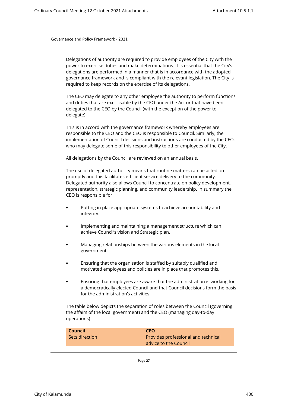Delegations of authority are required to provide employees of the City with the power to exercise duties and make determinations. It is essential that the City's delegations are performed in a manner that is in accordance with the adopted governance framework and is compliant with the relevant legislation. The City is required to keep records on the exercise of its delegations.

The CEO may delegate to any other employee the authority to perform functions and duties that are exercisable by the CEO under the Act or that have been delegated to the CEO by the Council (with the exception of the power to delegate).

This is in accord with the governance framework whereby employees are responsible to the CEO and the CEO is responsible to Council. Similarly, the implementation of Council decisions and instructions are conducted by the CEO, who may delegate some of this responsibility to other employees of the City.

All delegations by the Council are reviewed on an annual basis.

The use of delegated authority means that routine matters can be acted on promptly and this facilitates efficient service delivery to the community. Delegated authority also allows Council to concentrate on policy development, representation, strategic planning, and community leadership. In summary the CEO is responsible for:

- Putting in place appropriate systems to achieve accountability and integrity.
- Implementing and maintaining a management structure which can achieve Council's vision and Strategic plan.
- Managing relationships between the various elements in the local government.
- Ensuring that the organisation is staffed by suitably qualified and motivated employees and policies are in place that promotes this.
- Ensuring that employees are aware that the administration is working for a democratically elected Council and that Council decisions form the basis for the administration's activities.

The table below depicts the separation of roles between the Council (governing the affairs of the local government) and the CEO (managing day-to-day operations)

| Council        | <b>CEO</b>                          |
|----------------|-------------------------------------|
| Sets direction | Provides professional and technical |
|                | advice to the Council               |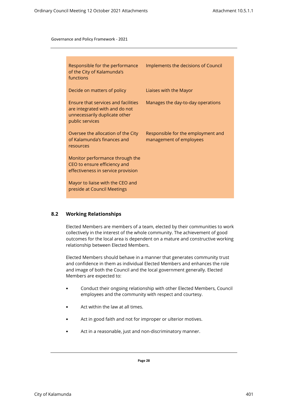| Responsible for the performance<br>of the City of Kalamunda's<br>functions                                                | Implements the decisions of Council                           |
|---------------------------------------------------------------------------------------------------------------------------|---------------------------------------------------------------|
| Decide on matters of policy                                                                                               | Liaises with the Mayor                                        |
| Ensure that services and facilities<br>are integrated with and do not<br>unnecessarily duplicate other<br>public services | Manages the day-to-day operations                             |
| Oversee the allocation of the City<br>of Kalamunda's finances and<br>resources                                            | Responsible for the employment and<br>management of employees |
| Monitor performance through the<br>CEO to ensure efficiency and<br>effectiveness in service provision                     |                                                               |
| Mayor to liaise with the CEO and<br>preside at Council Meetings                                                           |                                                               |

# <span id="page-31-0"></span>**8.2 Working Relationships**

Elected Members are members of a team, elected by their communities to work collectively in the interest of the whole community. The achievement of good outcomes for the local area is dependent on a mature and constructive working relationship between Elected Members.

Elected Members should behave in a manner that generates community trust and confidence in them as individual Elected Members and enhances the role and image of both the Council and the local government generally. Elected Members are expected to:

- Conduct their ongoing relationship with other Elected Members, Council employees and the community with respect and courtesy.
- Act within the law at all times.
- Act in good faith and not for improper or ulterior motives.
- Act in a reasonable, just and non-discriminatory manner.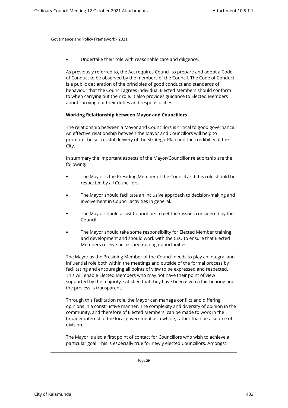• Undertake their role with reasonable care and diligence.

As previously referred to, the Act requires Council to prepare and adopt a Code of Conduct to be observed by the members of the Council. The Code of Conduct is a public declaration of the principles of good conduct and standards of behaviour that the Council agrees individual Elected Members should conform to when carrying out their role. It also provides guidance to Elected Members about carrying out their duties and responsibilities.

## <span id="page-32-0"></span>**Working Relationship between Mayor and Councillors**

The relationship between a Mayor and Councillors is critical to good governance. An effective relationship between the Mayor and Councillors will help to promote the successful delivery of the Strategic Plan and the credibility of the City.

In summary the important aspects of the Mayor/Councillor relationship are the following:

- The Mayor is the Presiding Member of the Council and this role should be respected by all Councillors.
- The Mayor should facilitate an inclusive approach to decision-making and involvement in Council activities in general.
- The Mayor should assist Councillors to get their issues considered by the Council.
- The Mayor should take some responsibility for Elected Member training and development and should work with the CEO to ensure that Elected Members receive necessary training opportunities.

The Mayor as the Presiding Member of the Council needs to play an integral and influential role both within the meetings and outside of the formal process by facilitating and encouraging all points of view to be expressed and respected. This will enable Elected Members who may not have their point of view supported by the majority, satisfied that they have been given a fair hearing and the process is transparent.

Through this facilitation role, the Mayor can manage conflict and differing opinions in a constructive manner. The complexity and diversity of opinion in the community, and therefore of Elected Members, can be made to work in the broader interest of the local government as a whole, rather than be a source of division.

The Mayor is also a first point of contact for Councillors who wish to achieve a particular goal. This is especially true for newly elected Councillors. Amongst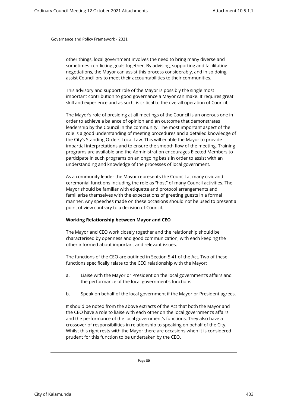other things, local government involves the need to bring many diverse and sometimes-conflicting goals together. By advising, supporting and facilitating negotiations, the Mayor can assist this process considerably, and in so doing, assist Councillors to meet their accountabilities to their communities.

This advisory and support role of the Mayor is possibly the single most important contribution to good governance a Mayor can make. It requires great skill and experience and as such, is critical to the overall operation of Council.

The Mayor's role of presiding at all meetings of the Council is an onerous one in order to achieve a balance of opinion and an outcome that demonstrates leadership by the Council in the community. The most important aspect of the role is a good understanding of meeting procedures and a detailed knowledge of the City's Standing Orders Local Law. This will enable the Mayor to provide impartial interpretations and to ensure the smooth flow of the meeting. Training programs are available and the Administration encourages Elected Members to participate in such programs on an ongoing basis in order to assist with an understanding and knowledge of the processes of local government.

As a community leader the Mayor represents the Council at many civic and ceremonial functions including the role as "host" of many Council activities. The Mayor should be familiar with etiquette and protocol arrangements and familiarise themselves with the expectations of greeting guests in a formal manner. Any speeches made on these occasions should not be used to present a point of view contrary to a decision of Council.

#### <span id="page-33-0"></span>**Working Relationship between Mayor and CEO**

The Mayor and CEO work closely together and the relationship should be characterised by openness and good communication, with each keeping the other informed about important and relevant issues.

The functions of the CEO are outlined in Section 5.41 of the Act. Two of these functions specifically relate to the CEO relationship with the Mayor:

- a. Liaise with the Mayor or President on the local government's affairs and the performance of the local government's functions.
- b. Speak on behalf of the local government if the Mayor or President agrees.

It should be noted from the above extracts of the Act that both the Mayor and the CEO have a role to liaise with each other on the local government's affairs and the performance of the local government's functions. They also have a crossover of responsibilities in relationship to speaking on behalf of the City. Whilst this right rests with the Mayor there are occasions when it is considered prudent for this function to be undertaken by the CEO.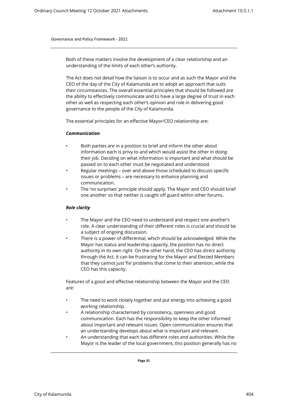Both of these matters involve the development of a clear relationship and an understanding of the limits of each other's authority.

The Act does not detail how the liaison is to occur and as such the Mayor and the CEO of the day of the City of Kalamunda are to adopt an approach that suits their circumstances. The overall essential principles that should be followed are the ability to effectively communicate and to have a large degree of trust in each other as well as respecting each other's opinion and role in delivering good governance to the people of the City of Kalamunda.

<span id="page-34-0"></span>The essential principles for an effective Mayor/CEO relationship are:

#### *Communication*

- Both parties are in a position to brief and inform the other about information each is privy to and which would assist the other in doing their job. Deciding on what information is important and what should be passed on to each other must be negotiated and understood.
- Regular meetings over and above those scheduled to discuss specific issues or problems – are necessary to enhance planning and communication.
- The 'no surprises' principle should apply. The Mayor and CEO should brief one another so that neither is caught off guard within other forums.

# <span id="page-34-1"></span>*Role clarity*

- The Mayor and the CEO need to understand and respect one another's role. A clear understanding of their different roles is crucial and should be a subject of ongoing discussion.
	- There is a power of differential, which should be acknowledged. While the Mayor has status and leadership capacity, the position has no direct authority in its own right. On the other hand, the CEO has direct authority through the Act. It can be frustrating for the Mayor and Elected Members that they cannot just 'fix' problems that come to their attention, while the CEO has this capacity.

Features of a good and effective relationship between the Mayor and the CEO are:

- The need to work closely together and put energy into achieving a good working relationship.
- A relationship characterised by consistency, openness and good communication. Each has the responsibility to keep the other informed about important and relevant issues. Open communication ensures that an understanding develops about what is important and relevant.
- An understanding that each has different roles and authorities. While the Mayor is the leader of the local government, this position generally has no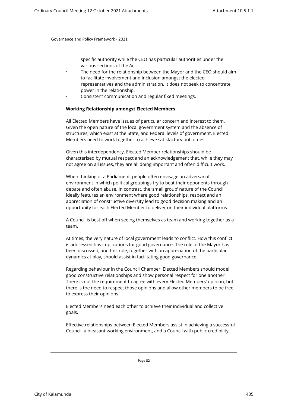specific authority while the CEO has particular authorities under the various sections of the Act.

- The need for the relationship between the Mayor and the CEO should aim to facilitate involvement and inclusion amongst the elected representatives and the administration. It does not seek to concentrate power in the relationship.
- <span id="page-35-0"></span>• Consistent communication and regular fixed meetings.

#### **Working Relationship amongst Elected Members**

All Elected Members have issues of particular concern and interest to them. Given the open nature of the local government system and the absence of structures, which exist at the State, and Federal levels of government, Elected Members need to work together to achieve satisfactory outcomes.

Given this interdependency, Elected Member relationships should be characterised by mutual respect and an acknowledgement that, while they may not agree on all issues, they are all doing important and often difficult work.

When thinking of a Parliament, people often envisage an adversarial environment in which political groupings try to beat their opponents through debate and often abuse. In contrast, the 'small group' nature of the Council ideally features an environment where good relationships, respect and an appreciation of constructive diversity lead to good decision making and an opportunity for each Elected Member to deliver on their individual platforms.

A Council is best off when seeing themselves as team and working together as a team.

At times, the very nature of local government leads to conflict. How this conflict is addressed has implications for good governance. The role of the Mayor has been discussed, and this role, together with an appreciation of the particular dynamics at play, should assist in facilitating good governance.

Regarding behaviour in the Council Chamber, Elected Members should model good constructive relationships and show personal respect for one another. There is not the requirement to agree with every Elected Members' opinion, but there is the need to respect those opinions and allow other members to be free to express their opinions.

Elected Members need each other to achieve their individual and collective goals.

Effective relationships between Elected Members assist in achieving a successful Council, a pleasant working environment, and a Council with public credibility.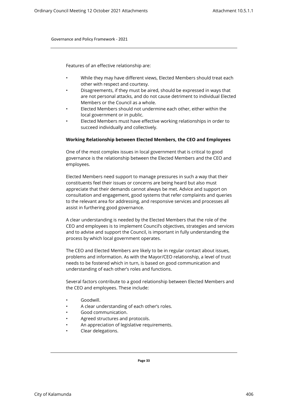Features of an effective relationship are:

- While they may have different views, Elected Members should treat each other with respect and courtesy.
- Disagreements, if they must be aired, should be expressed in ways that are not personal attacks, and do not cause detriment to individual Elected Members or the Council as a whole.
- Elected Members should not undermine each other, either within the local government or in public.
- <span id="page-36-0"></span>• Elected Members must have effective working relationships in order to succeed individually and collectively.

#### **Working Relationship between Elected Members, the CEO and Employees**

One of the most complex issues in local government that is critical to good governance is the relationship between the Elected Members and the CEO and employees.

Elected Members need support to manage pressures in such a way that their constituents feel their issues or concerns are being heard but also must appreciate that their demands cannot always be met. Advice and support on consultation and engagement, good systems that refer complaints and queries to the relevant area for addressing, and responsive services and processes all assist in furthering good governance.

A clear understanding is needed by the Elected Members that the role of the CEO and employees is to implement Council's objectives, strategies and services and to advise and support the Council, is important in fully understanding the process by which local government operates.

The CEO and Elected Members are likely to be in regular contact about issues, problems and information. As with the Mayor/CEO relationship, a level of trust needs to be fostered which in turn, is based on good communication and understanding of each other's roles and functions.

Several factors contribute to a good relationship between Elected Members and the CEO and employees. These include:

- Goodwill.
- A clear understanding of each other's roles.
- Good communication.
- Agreed structures and protocols.
- An appreciation of legislative requirements.
- Clear delegations.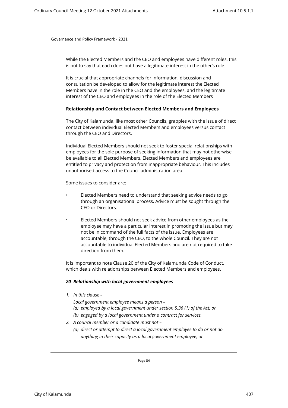While the Elected Members and the CEO and employees have different roles, this is not to say that each does not have a legitimate interest in the other's role.

<span id="page-37-0"></span>It is crucial that appropriate channels for information, discussion and consultation be developed to allow for the legitimate interest the Elected Members have in the role in the CEO and the employees, and the legitimate interest of the CEO and employees in the role of the Elected Members

#### **Relationship and Contact between Elected Members and Employees**

The City of Kalamunda, like most other Councils, grapples with the issue of direct contact between individual Elected Members and employees versus contact through the CEO and Directors.

Individual Elected Members should not seek to foster special relationships with employees for the sole purpose of seeking information that may not otherwise be available to all Elected Members. Elected Members and employees are entitled to privacy and protection from inappropriate behaviour. This includes unauthorised access to the Council administration area.

Some issues to consider are:

- Elected Members need to understand that seeking advice needs to go through an organisational process. Advice must be sought through the CEO or Directors.
- Elected Members should not seek advice from other employees as the employee may have a particular interest in promoting the issue but may not be in command of the full facts of the issue. Employees are accountable, through the CEO, to the whole Council. They are not accountable to individual Elected Members and are not required to take direction from them.

It is important to note Clause 20 of the City of Kalamunda Code of Conduct, which deals with relationships between Elected Members and employees.

#### *20 Relationship with local government employees*

*1. In this clause –* 

*Local government employee means a person –* 

- *(a) employed by a local government under section 5.36 (1) of the Act; or*
- *(b) engaged by a local government under a contract for services.*
- *2. A council member or a candidate must not* 
	- *(a) direct or attempt to direct a local government employee to do or not do anything in their capacity as a local government employee, or*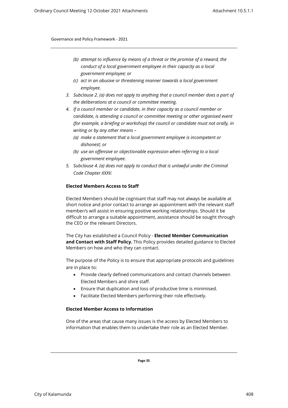- *(b) attempt to influence by means of a threat or the promise of a reward, the conduct of a local government employee in their capacity as a local government employee; or*
- *(c) act in an abusive or threatening manner towards a local government employee.*
- *3. Subclause 2. (a) does not apply to anything that a council member does a part of the deliberations at a council or committee meeting.*
- *4. If a council member or candidate, in their capacity as a council member or candidate, is attending a council or committee meeting or other organised event (for example, a briefing or workshop) the council or candidate must not orally, in writing or by any other means –* 
	- *(a) make a statement that a local government employee is incompetent or dishonest; or*
	- *(b) use an offensive or objectionable expression when referring to a local government employee.*
- *5. Subclause 4. (a) does not apply to conduct that is unlawful under the Criminal Code Chapter XXXV.*

## <span id="page-38-0"></span>**Elected Members Access to Staff**

Elected Members should be cognisant that staff may not always be available at short notice and prior contact to arrange an appointment with the relevant staff member/s will assist in ensuring positive working relationships. Should it be difficult to arrange a suitable appointment, assistance should be sought through the CEO or the relevant Directors.

The City has established a Council Policy - **Elected Member Communication and Contact with Staff Policy.** This Policy provides detailed guidance to Elected Members on how and who they can contact.

The purpose of the Policy is to ensure that appropriate protocols and guidelines are in place to:

- Provide clearly defined communications and contact channels between Elected Members and shire staff.
- Ensure that duplication and loss of productive time is minimised.
- Facilitate Elected Members performing their role effectively.

#### **Elected Member Access to Information**

<span id="page-38-1"></span>One of the areas that cause many issues is the access by Elected Members to information that enables them to undertake their role as an Elected Member.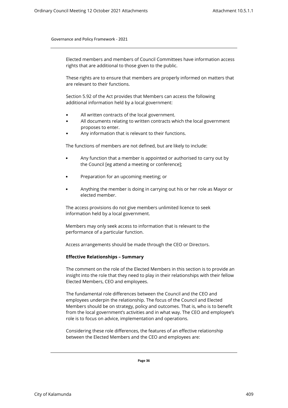Elected members and members of Council Committees have information access rights that are additional to those given to the public.

These rights are to ensure that members are properly informed on matters that are relevant to their functions.

Section 5.92 of the Act provides that Members can access the following additional information held by a local government:

- All written contracts of the local government.
- All documents relating to written contracts which the local government proposes to enter.
- Any information that is relevant to their functions.

The functions of members are not defined, but are likely to include:

- Any function that a member is appointed or authorised to carry out by the Council [eg attend a meeting or conference];
- Preparation for an upcoming meeting; or
- Anything the member is doing in carrying out his or her role as Mayor or elected member.

The access provisions do not give members unlimited licence to seek information held by a local government.

Members may only seek access to information that is relevant to the performance of a particular function.

Access arrangements should be made through the CEO or Directors.

#### **Effective Relationships – Summary**

<span id="page-39-0"></span>The comment on the role of the Elected Members in this section is to provide an insight into the role that they need to play in their relationships with their fellow Elected Members, CEO and employees.

The fundamental role differences between the Council and the CEO and employees underpin the relationship. The focus of the Council and Elected Members should be on strategy, policy and outcomes. That is, who is to benefit from the local government's activities and in what way. The CEO and employee's role is to focus on advice, implementation and operations.

Considering these role differences, the features of an effective relationship between the Elected Members and the CEO and employees are: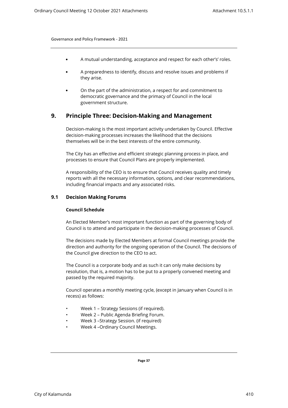- A mutual understanding, acceptance and respect for each other's' roles.
- A preparedness to identify, discuss and resolve issues and problems if they arise.
- On the part of the administration, a respect for and commitment to democratic governance and the primacy of Council in the local government structure.

# <span id="page-40-0"></span>**9. Principle Three: Decision-Making and Management**

Decision-making is the most important activity undertaken by Council. Effective decision-making processes increases the likelihood that the decisions themselves will be in the best interests of the entire community.

The City has an effective and efficient strategic planning process in place, and processes to ensure that Council Plans are properly implemented.

A responsibility of the CEO is to ensure that Council receives quality and timely reports with all the necessary information, options, and clear recommendations, including financial impacts and any associated risks.

# <span id="page-40-2"></span><span id="page-40-1"></span>**9.1 Decision Making Forums**

# **Council Schedule**

An Elected Member's most important function as part of the governing body of Council is to attend and participate in the decision-making processes of Council.

The decisions made by Elected Members at formal Council meetings provide the direction and authority for the ongoing operation of the Council. The decisions of the Council give direction to the CEO to act.

The Council is a corporate body and as such it can only make decisions by resolution, that is, a motion has to be put to a properly convened meeting and passed by the required majority.

Council operates a monthly meeting cycle, (except in January when Council is in recess) as follows:

- Week 1 Strategy Sessions (if required).
- Week 2 Public Agenda Briefing Forum.
- Week 3 –Strategy Session. (if required)
- Week 4 –Ordinary Council Meetings.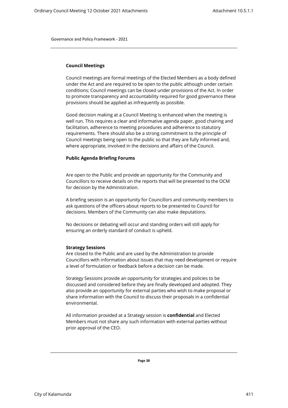#### <span id="page-41-0"></span>**Council Meetings**

Council meetings are formal meetings of the Elected Members as a body defined under the Act and are required to be open to the public although under certain conditions; Council meetings can be closed under provisions of the Act. In order to promote transparency and accountability required for good governance these provisions should be applied as infrequently as possible.

Good decision making at a Council Meeting is enhanced when the meeting is well run. This requires a clear and informative agenda paper, good chairing and facilitation, adherence to meeting procedures and adherence to statutory requirements. There should also be a strong commitment to the principle of Council meetings being open to the public so that they are fully informed and, where appropriate, involved in the decisions and affairs of the Council.

#### <span id="page-41-1"></span>**Public Agenda Briefing Forums**

Are open to the Public and provide an opportunity for the Community and Councillors to receive details on the reports that will be presented to the OCM for decision by the Administration.

A briefing session is an opportunity for Councillors and community members to ask questions of the officers about reports to be presented to Council for decisions. Members of the Community can also make deputations.

No decisions or debating will occur and standing orders will still apply for ensuring an orderly standard of conduct is upheld.

#### **Strategy Sessions**

Are closed to the Public and are used by the Administration to provide Councillors with information about issues that may need development or require a level of formulation or feedback before a decision can be made.

Strategy Sessions provide an opportunity for strategies and policies to be discussed and considered before they are finally developed and adopted. They also provide an opportunity for external parties who wish to make proposal or share information with the Council to discuss their proposals in a confidential environmental.

All information provided at a Strategy session is **confidential** and Elected Members must not share any such information with external parties without prior approval of the CEO.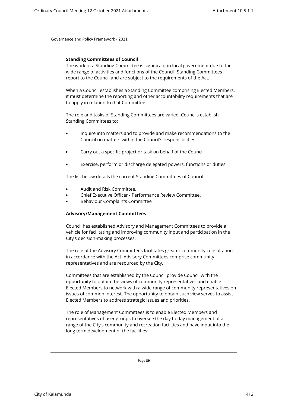#### **Standing Committees of Council**

The work of a Standing Committee is significant in local government due to the wide range of activities and functions of the Council. Standing Committees report to the Council and are subject to the requirements of the Act.

When a Council establishes a Standing Committee comprising Elected Members, it must determine the reporting and other accountability requirements that are to apply in relation to that Committee.

The role and tasks of Standing Committees are varied. Councils establish Standing Committees to:

- Inquire into matters and to provide and make recommendations to the Council on matters within the Council's responsibilities.
- Carry out a specific project or task on behalf of the Council.
- Exercise, perform or discharge delegated powers, functions or duties.

The list below details the current Standing Committees of Council:

- Audit and Risk Committee.
- Chief Executive Officer Performance Review Committee.
- Behaviour Complaints Committee

#### <span id="page-42-0"></span>**Advisory/Management Committees**

Council has established Advisory and Management Committees to provide a vehicle for facilitating and improving community input and participation in the City's decision-making processes.

The role of the Advisory Committees facilitates greater community consultation in accordance with the Act. Advisory Committees comprise community representatives and are resourced by the City.

Committees that are established by the Council provide Council with the opportunity to obtain the views of community representatives and enable Elected Members to network with a wide range of community representatives on issues of common interest. The opportunity to obtain such view serves to assist Elected Members to address strategic issues and priorities.

The role of Management Committees is to enable Elected Members and representatives of user groups to oversee the day to day management of a range of the City's community and recreation facilities and have input into the long term development of the facilities.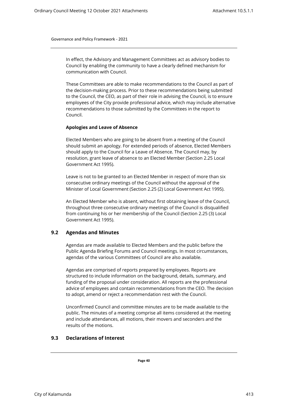In effect, the Advisory and Management Committees act as advisory bodies to Council by enabling the community to have a clearly defined mechanism for communication with Council.

These Committees are able to make recommendations to the Council as part of the decision-making process. Prior to these recommendations being submitted to the Council, the CEO, as part of their role in advising the Council, is to ensure employees of the City provide professional advice, which may include alternative recommendations to those submitted by the Committees in the report to Council.

#### <span id="page-43-0"></span>**Apologies and Leave of Absence**

Elected Members who are going to be absent from a meeting of the Council should submit an apology. For extended periods of absence, Elected Members should apply to the Council for a Leave of Absence. The Council may, by resolution, grant leave of absence to an Elected Member (Section 2.25 Local Government Act 1995).

Leave is not to be granted to an Elected Member in respect of more than six consecutive ordinary meetings of the Council without the approval of the Minister of Local Government (Section 2.25 (2) Local Government Act 1995).

An Elected Member who is absent, without first obtaining leave of the Council, throughout three consecutive ordinary meetings of the Council is disqualified from continuing his or her membership of the Council (Section 2.25 (3) Local Government Act 1995).

#### <span id="page-43-1"></span>**9.2 Agendas and Minutes**

Agendas are made available to Elected Members and the public before the Public Agenda Briefing Forums and Council meetings. In most circumstances, agendas of the various Committees of Council are also available.

Agendas are comprised of reports prepared by employees. Reports are structured to include information on the background, details, summary, and funding of the proposal under consideration. All reports are the professional advice of employees and contain recommendations from the CEO. The decision to adopt, amend or reject a recommendation rest with the Council.

Unconfirmed Council and committee minutes are to be made available to the public. The minutes of a meeting comprise all items considered at the meeting and include attendances, all motions, their movers and seconders and the results of the motions.

# <span id="page-43-2"></span>**9.3 Declarations of Interest**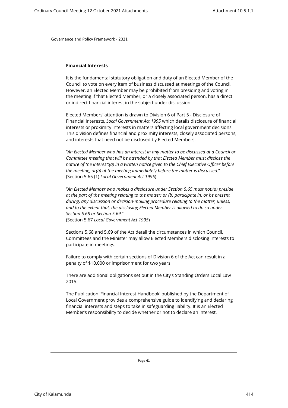#### <span id="page-44-0"></span>**Financial Interests**

It is the fundamental statutory obligation and duty of an Elected Member of the Council to vote on every item of business discussed at meetings of the Council. However, an Elected Member may be prohibited from presiding and voting in the meeting if that Elected Member, or a closely associated person, has a direct or indirect financial interest in the subject under discussion.

Elected Members' attention is drawn to Division 6 of Part 5 - Disclosure of Financial Interests, *Local Government Act 1995* which details disclosure of financial interests or proximity interests in matters affecting local government decisions. This division defines financial and proximity interests, closely associated persons, and interests that need not be disclosed by Elected Members.

"*An Elected Member who has an interest in any matter to be discussed at a Council or Committee meeting that will be attended by that Elected Member must disclose the nature of the interest:(a) in a written notice given to the Chief Executive Officer before the meeting; or(b) at the meeting immediately before the matter is discussed.*" (Section 5.65 (1) *Local Government Act 1995*)

"*An Elected Member who makes a disclosure under Section 5.65 must not:(a) preside at the part of the meeting relating to the matter; or (b) participate in, or be present during, any discussion or decision-making procedure relating to the matter, unless,*  and to the extent that, the disclosing Elected Member is allowed to do so under *Section 5.68 or Section 5.69.*" (Section 5.67 *Local Government Act 1995*)

Sections 5.68 and 5.69 of the Act detail the circumstances in which Council, Committees and the Minister may allow Elected Members disclosing interests to participate in meetings.

Failure to comply with certain sections of Division 6 of the Act can result in a penalty of \$10,000 or imprisonment for two years.

There are additional obligations set out in the City's Standing Orders Local Law 2015.

The Publication 'Financial Interest Handbook' published by the Department of Local Government provides a comprehensive guide to identifying and declaring financial interests and steps to take in safeguarding liability. It is an Elected Member's responsibility to decide whether or not to declare an interest.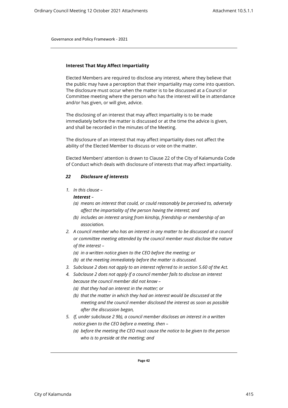#### <span id="page-45-0"></span>**Interest That May Affect Impartiality**

Elected Members are required to disclose any interest, where they believe that the public may have a perception that their impartiality may come into question. The disclosure must occur when the matter is to be discussed at a Council or Committee meeting where the person who has the interest will be in attendance and/or has given, or will give, advice.

The disclosing of an interest that may affect impartiality is to be made immediately before the matter is discussed or at the time the advice is given, and shall be recorded in the minutes of the Meeting.

The disclosure of an interest that may affect impartiality does not affect the ability of the Elected Member to discuss or vote on the matter.

Elected Members' attention is drawn to Clause 22 of the City of Kalamunda Code of Conduct which deals with disclosure of interests that may affect impartiality.

#### *22 Disclosure of interests*

*1. In this clause –* 

#### *Interest –*

- *(a) means an interest that could, or could reasonably be perceived to, adversely affect the impartiality of the person having the interest; and*
- *(b) includes an interest arsing from kinship, friendship or membership of an association.*
- *2. A council member who has an interest in any matter to be discussed at a council or committee meeting attended by the council member must disclose the nature of the interest –* 
	- *(a) in a written notice given to the CEO before the meeting; or*
	- *(b) at the meeting immediately before the matter is discussed.*
- *3. Subclause 2 does not apply to an interest referred to in section 5.60 of the Act.*
- *4. Subclause 2 does not apply if a council member fails to disclose an interest because the council member did not know –* 
	- *(a) that they had an interest in the matter; or*
	- *(b) that the matter in which they had an interest would be discussed at the meeting and the council member disclosed the interest as soon as possible after the discussion began,*
- *5. If, under subclause 2 9b), a council member discloses an interest in a written notice given to the CEO before a meeting, then –* 
	- *(a) before the meeting the CEO must cause the notice to be given to the person who is to preside at the meeting; and*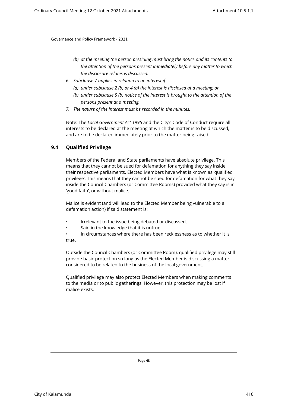- *(b) at the meeting the person presiding must bring the notice and its contents to the attention of the persons present immediately before any matter to which the disclosure relates is discussed.*
- *6. Subclause 7 applies in relation to an interest if* 
	- *(a) under subclause 2 (b) or 4 (b) the interest is disclosed at a meeting; or*
	- *(b) under subclause 5 (b) notice of the interest is brought to the attention of the persons present at a meeting.*
- *7. The nature of the interest must be recorded in the minutes.*

Note: The *Local Government Act 1995* and the City's Code of Conduct require all interests to be declared at the meeting at which the matter is to be discussed, and are to be declared immediately prior to the matter being raised.

# <span id="page-46-0"></span>**9.4 Qualified Privilege**

Members of the Federal and State parliaments have absolute privilege. This means that they cannot be sued for defamation for anything they say inside their respective parliaments. Elected Members have what is known as 'qualified privilege'. This means that they cannot be sued for defamation for what they say inside the Council Chambers (or Committee Rooms) provided what they say is in 'good faith', or without malice.

Malice is evident (and will lead to the Elected Member being vulnerable to a defamation action) if said statement is:

- Irrelevant to the issue being debated or discussed.
- Said in the knowledge that it is untrue.
- In circumstances where there has been recklessness as to whether it is true.

Outside the Council Chambers (or Committee Room), qualified privilege may still provide basic protection so long as the Elected Member is discussing a matter considered to be related to the business of the local government.

Qualified privilege may also protect Elected Members when making comments to the media or to public gatherings. However, this protection may be lost if malice exists.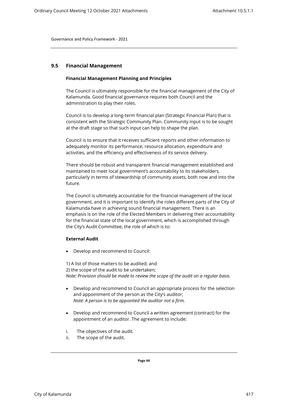#### <span id="page-47-1"></span><span id="page-47-0"></span>**9.5 Financial Management**

#### **Financial Management Planning and Principles**

The Council is ultimately responsible for the financial management of the City of Kalamunda. Good financial governance requires both Council and the administration to play their roles.

Council is to develop a long-term financial plan (Strategic Financial Plan) that is consistent with the Strategic Community Plan. Community input is to be sought at the draft stage so that such input can help to shape the plan.

Council is to ensure that it receives sufficient reports and other information to adequately monitor its performance, resource allocation, expenditure and activities, and the efficiency and effectiveness of its service delivery.

There should be robust and transparent financial management established and maintained to meet local government's accountability to its stakeholders, particularly in terms of stewardship of community assets, both now and into the future.

The Council is ultimately accountable for the financial management of the local government, and it is important to identify the roles different parts of the City of Kalamunda have in achieving sound financial management. There is an emphasis is on the role of the Elected Members in delivering their accountability for the financial state of the local government, which is accomplished through the City's Audit Committee, the role of which is to:

#### **External Audit**

Develop and recommend to Council:

1) A list of those matters to be audited; and 2) the scope of the audit to be undertaken; *Note: Provision should be made to review the scope of the audit on a regular basis.*

- Develop and recommend to Council an appropriate process for the selection and appointment of the person as the City's auditor; *Note: A person is to be appointed the auditor not a firm.*
- Develop and recommend to Council a written agreement (contract) for the appointment of an auditor. The agreement to include:
- i. The objectives of the audit.
- ii. The scope of the audit.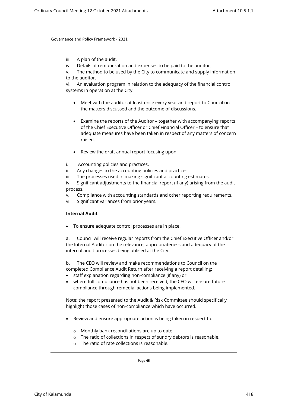- iii. A plan of the audit.
- iv. Details of remuneration and expenses to be paid to the auditor.

vi. An evaluation program in relation to the adequacy of the financial control systems in operation at the City.

- Meet with the auditor at least once every year and report to Council on the matters discussed and the outcome of discussions.
- Examine the reports of the Auditor together with accompanying reports of the Chief Executive Officer or Chief Financial Officer – to ensure that adequate measures have been taken in respect of any matters of concern raised.
- Review the draft annual report focusing upon:
- i. Accounting policies and practices.
- ii. Any changes to the accounting policies and practices.
- iii. The processes used in making significant accounting estimates.

iv. Significant adjustments to the financial report (if any) arising from the audit process.

- v. Compliance with accounting standards and other reporting requirements.
- vi. Significant variances from prior years.

# **Internal Audit**

To ensure adequate control processes are in place:

a. Council will receive regular reports from the Chief Executive Officer and/or the Internal Auditor on the relevance, appropriateness and adequacy of the internal audit processes being utilised at the City.

b. The CEO will review and make recommendations to Council on the completed Compliance Audit Return after receiving a report detailing:

- staff explanation regarding non-compliance (if any) or
- where full compliance has not been received; the CEO will ensure future compliance through remedial actions being implemented.

Note: the report presented to the Audit & Risk Committee should specifically highlight those cases of non-compliance which have occurred.

- Review and ensure appropriate action is being taken in respect to:
	- o Monthly bank reconciliations are up to date.
	- o The ratio of collections in respect of sundry debtors is reasonable.
	- $\circ$  The ratio of rate collections is reasonable.

v. The method to be used by the City to communicate and supply information to the auditor.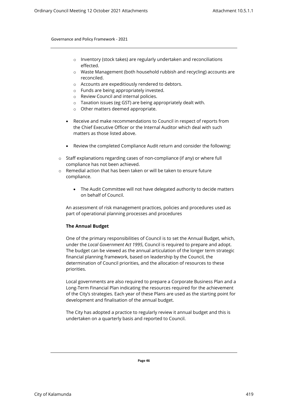- o Inventory (stock takes) are regularly undertaken and reconciliations effected.
- o Waste Management (both household rubbish and recycling) accounts are reconciled.
- o Accounts are expeditiously rendered to debtors.
- o Funds are being appropriately invested.
- o Review Council and internal policies.
- o Taxation issues (eg GST) are being appropriately dealt with.
- o Other matters deemed appropriate.
- Receive and make recommendations to Council in respect of reports from the Chief Executive Officer or the Internal Auditor which deal with such matters as those listed above.
- Review the completed Compliance Audit return and consider the following:
- o Staff explanations regarding cases of non-compliance (if any) or where full compliance has not been achieved.
- o Remedial action that has been taken or will be taken to ensure future compliance.
	- The Audit Committee will not have delegated authority to decide matters on behalf of Council.

An assessment of risk management practices, policies and procedures used as part of operational planning processes and procedures

# <span id="page-49-0"></span>**The Annual Budget**

One of the primary responsibilities of Council is to set the Annual Budget, which, under the *Local Government Act 1995*, Council is required to prepare and adopt. The budget can be viewed as the annual articulation of the longer term strategic financial planning framework, based on leadership by the Council, the determination of Council priorities, and the allocation of resources to these priorities.

Local governments are also required to prepare a Corporate Business Plan and a Long-Term Financial Plan indicating the resources required for the achievement of the City's strategies. Each year of these Plans are used as the starting point for development and finalisation of the annual budget.

The City has adopted a practice to regularly review it annual budget and this is undertaken on a quarterly basis and reported to Council.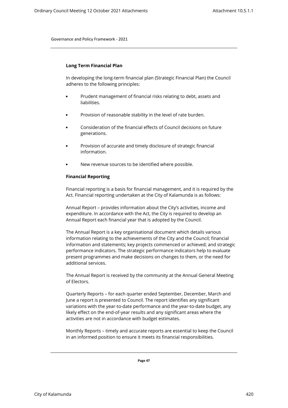#### <span id="page-50-0"></span>**Long Term Financial Plan**

In developing the long-term financial plan (Strategic Financial Plan) the Council adheres to the following principles:

- Prudent management of financial risks relating to debt, assets and liabilities.
- Provision of reasonable stability in the level of rate burden.
- Consideration of the financial effects of Council decisions on future generations.
- Provision of accurate and timely disclosure of strategic financial information.
- New revenue sources to be identified where possible.

## <span id="page-50-1"></span>**Financial Reporting**

Financial reporting is a basis for financial management, and it is required by the Act. Financial reporting undertaken at the City of Kalamunda is as follows:

Annual Report – provides information about the City's activities, income and expenditure. In accordance with the Act, the City is required to develop an Annual Report each financial year that is adopted by the Council.

The Annual Report is a key organisational document which details various information relating to the achievements of the City and the Council; financial information and statements; key projects commenced or achieved; and strategic performance indicators. The strategic performance indicators help to evaluate present programmes and make decisions on changes to them, or the need for additional services.

The Annual Report is received by the community at the Annual General Meeting of Electors.

Quarterly Reports – for each quarter ended September, December, March and June a report is presented to Council. The report identifies any significant variations with the year-to-date performance and the year-to-date budget, any likely effect on the end-of-year results and any significant areas where the activities are not in accordance with budget estimates.

Monthly Reports – timely and accurate reports are essential to keep the Council in an informed position to ensure it meets its financial responsibilities.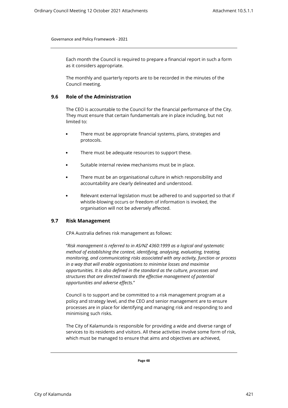Each month the Council is required to prepare a financial report in such a form as it considers appropriate.

The monthly and quarterly reports are to be recorded in the minutes of the Council meeting.

# <span id="page-51-0"></span>**9.6 Role of the Administration**

The CEO is accountable to the Council for the financial performance of the City. They must ensure that certain fundamentals are in place including, but not limited to:

- There must be appropriate financial systems, plans, strategies and protocols.
- There must be adequate resources to support these.
- Suitable internal review mechanisms must be in place.
- There must be an organisational culture in which responsibility and accountability are clearly delineated and understood.
- Relevant external legislation must be adhered to and supported so that if whistle-blowing occurs or freedom of information is invoked, the organisation will not be adversely affected.

# <span id="page-51-1"></span>**9.7 Risk Management**

CPA Australia defines risk management as follows:

"*Risk management is referred to in AS/NZ 4360:1999 as a logical and systematic method of establishing the context, identifying, analysing, evaluating, treating, monitoring, and communicating risks associated with any activity, function or process in a way that will enable organisations to minimise losses and maximise opportunities. It is also defined in the standard as the culture, processes and structures that are directed towards the effective management of potential opportunities and adverse effects.*"

Council is to support and be committed to a risk management program at a policy and strategy level, and the CEO and senior management are to ensure processes are in place for identifying and managing risk and responding to and minimising such risks.

The City of Kalamunda is responsible for providing a wide and diverse range of services to its residents and visitors. All these activities involve some form of risk, which must be managed to ensure that aims and objectives are achieved,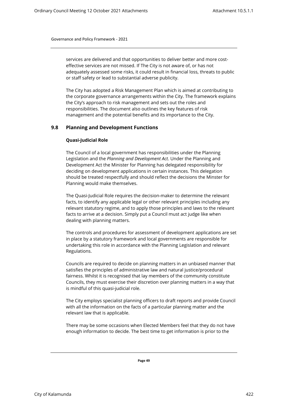services are delivered and that opportunities to deliver better and more costeffective services are not missed. If The City is not aware of, or has not adequately assessed some risks, it could result in financial loss, threats to public or staff safety or lead to substantial adverse publicity.

The City has adopted a Risk Management Plan which is aimed at contributing to the corporate governance arrangements within the City. The framework explains the City's approach to risk management and sets out the roles and responsibilities. The document also outlines the key features of risk management and the potential benefits and its importance to the City.

# <span id="page-52-1"></span><span id="page-52-0"></span>**9.8 Planning and Development Functions**

## **Quasi-Judicial Role**

The Council of a local government has responsibilities under the Planning Legislation and the *Planning and Development Act*. Under the Planning and Development Act the Minister for Planning has delegated responsibility for deciding on development applications in certain instances. This delegation should be treated respectfully and should reflect the decisions the Minster for Planning would make themselves.

The Quasi-Judicial Role requires the decision-maker to determine the relevant facts, to identify any applicable legal or other relevant principles including any relevant statutory regime, and to apply those principles and laws to the relevant facts to arrive at a decision. Simply put a Council must act judge like when dealing with planning matters.

The controls and procedures for assessment of development applications are set in place by a statutory framework and local governments are responsible for undertaking this role in accordance with the Planning Legislation and relevant Regulations.

Councils are required to decide on planning matters in an unbiased manner that satisfies the principles of administrative law and natural justice/procedural fairness. Whilst it is recognised that lay members of the community constitute Councils, they must exercise their discretion over planning matters in a way that is mindful of this quasi-judicial role.

The City employs specialist planning officers to draft reports and provide Council with all the information on the facts of a particular planning matter and the relevant law that is applicable.

There may be some occasions when Elected Members feel that they do not have enough information to decide. The best time to get information is prior to the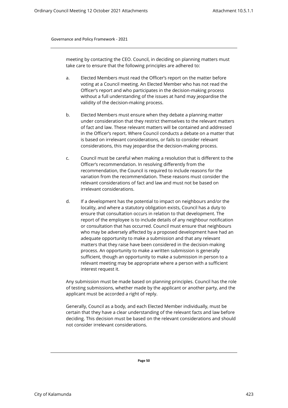meeting by contacting the CEO. Council, in deciding on planning matters must take care to ensure that the following principles are adhered to:

- a. Elected Members must read the Officer's report on the matter before voting at a Council meeting. An Elected Member who has not read the Officer's report and who participates in the decision-making process without a full understanding of the issues at hand may jeopardise the validity of the decision-making process.
- b. Elected Members must ensure when they debate a planning matter under consideration that they restrict themselves to the relevant matters of fact and law. These relevant matters will be contained and addressed in the Officer's report. Where Council conducts a debate on a matter that is based on irrelevant considerations, or fails to consider relevant considerations, this may jeopardise the decision-making process.
- c. Council must be careful when making a resolution that is different to the Officer's recommendation. In resolving differently from the recommendation, the Council is required to include reasons for the variation from the recommendation. These reasons must consider the relevant considerations of fact and law and must not be based on irrelevant considerations.
- d. If a development has the potential to impact on neighbours and/or the locality, and where a statutory obligation exists, Council has a duty to ensure that consultation occurs in relation to that development. The report of the employee is to include details of any neighbour notification or consultation that has occurred. Council must ensure that neighbours who may be adversely affected by a proposed development have had an adequate opportunity to make a submission and that any relevant matters that they raise have been considered in the decision-making process. An opportunity to make a written submission is generally sufficient, though an opportunity to make a submission in person to a relevant meeting may be appropriate where a person with a sufficient interest request it.

Any submission must be made based on planning principles. Council has the role of testing submissions, whether made by the applicant or another party, and the applicant must be accorded a right of reply.

Generally, Council as a body, and each Elected Member individually, must be certain that they have a clear understanding of the relevant facts and law before deciding. This decision must be based on the relevant considerations and should not consider irrelevant considerations.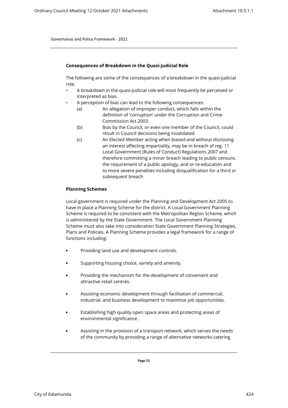#### **Consequences of Breakdown in the Quasi-Judicial Role**

The following are some of the consequences of a breakdown in the quasi-judicial role.

- A breakdown in the quasi-judicial role will most frequently be perceived or interpreted as bias.
	- A perception of bias can lead to the following consequences:
		- (a) An allegation of improper conduct, which falls within the definition of 'corruption' under the Corruption and Crime Commission Act 2003.
		- (b) Bias by the Council, or even one member of the Council, could result in Council decisions being invalidated.
		- (c) An Elected Member acting when biased and without disclosing an interest affecting impartiality, may be in breach of reg. 11 Local Government (Rules of Conduct) Regulations 2007 and therefore committing a minor breach leading to public censure, the requirement of a public apology, and or re-education and to more severe penalties including disqualification for a third or subsequent breach

#### <span id="page-54-0"></span>**Planning Schemes**

Local government is required under the Planning and Development Act 2005 to have in place a Planning Scheme for the district. A Local Government Planning Scheme is required to be consistent with the Metropolitan Region Scheme, which is administered by the State Government. The Local Government Planning Scheme must also take into consideration State Government Planning Strategies, Plans and Policies. A Planning Scheme provides a legal framework for a range of functions including:

- Providing land use and development controls.
- Supporting housing choice, variety and amenity.
- Providing the mechanism for the development of convenient and attractive retail centres.
- Assisting economic development through facilitation of commercial, industrial, and business development to maximise job opportunities.
- Establishing high quality open space areas and protecting areas of environmental significance.
- Assisting in the provision of a transport network, which serves the needs of the community by providing a range of alternative networks catering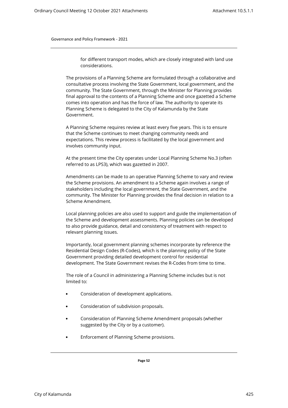for different transport modes, which are closely integrated with land use considerations.

The provisions of a Planning Scheme are formulated through a collaborative and consultative process involving the State Government, local government, and the community. The State Government, through the Minister for Planning provides final approval to the contents of a Planning Scheme and once gazetted a Scheme comes into operation and has the force of law. The authority to operate its Planning Scheme is delegated to the City of Kalamunda by the State Government.

A Planning Scheme requires review at least every five years. This is to ensure that the Scheme continues to meet changing community needs and expectations. This review process is facilitated by the local government and involves community input.

At the present time the City operates under Local Planning Scheme No.3 (often referred to as LPS3), which was gazetted in 2007.

Amendments can be made to an operative Planning Scheme to vary and review the Scheme provisions. An amendment to a Scheme again involves a range of stakeholders including the local government, the State Government, and the community. The Minister for Planning provides the final decision in relation to a Scheme Amendment.

Local planning policies are also used to support and guide the implementation of the Scheme and development assessments. Planning policies can be developed to also provide guidance, detail and consistency of treatment with respect to relevant planning issues.

Importantly, local government planning schemes incorporate by reference the Residential Design Codes (R-Codes), which is the planning policy of the State Government providing detailed development control for residential development. The State Government revises the R-Codes from time to time.

The role of a Council in administering a Planning Scheme includes but is not limited to:

- Consideration of development applications.
- Consideration of subdivision proposals.
- Consideration of Planning Scheme Amendment proposals (whether suggested by the City or by a customer).
- Enforcement of Planning Scheme provisions.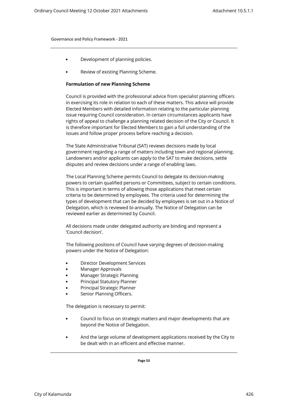- <span id="page-56-0"></span>• Development of planning policies.
- Review of existing Planning Scheme.

#### **Formulation of new Planning Scheme**

Council is provided with the professional advice from specialist planning officers in exercising its role in relation to each of these matters. This advice will provide Elected Members with detailed information relating to the particular planning issue requiring Council consideration. In certain circumstances applicants have rights of appeal to challenge a planning related decision of the City or Council. It is therefore important for Elected Members to gain a full understanding of the issues and follow proper process before reaching a decision.

The State Administrative Tribunal (SAT) reviews decisions made by local government regarding a range of matters including town and regional planning. Landowners and/or applicants can apply to the SAT to make decisions, settle disputes and review decisions under a range of enabling laws.

The Local Planning Scheme permits Council to delegate its decision-making powers to certain qualified persons or Committees, subject to certain conditions. This is important in terms of allowing those applications that meet certain criteria to be determined by employees. The criteria used for determining the types of development that can be decided by employees is set out in a Notice of Delegation, which is reviewed bi-annually. The Notice of Delegation can be reviewed earlier as determined by Council.

All decisions made under delegated authority are binding and represent a 'Council decision'.

The following positions of Council have varying degrees of decision-making powers under the Notice of Delegation:

- Director Development Services
- Manager Approvals
- Manager Strategic Planning
- Principal Statutory Planner
- Principal Strategic Planner
- Senior Planning Officers.

The delegation is necessary to permit:

- Council to focus on strategic matters and major developments that are beyond the Notice of Delegation.
- And the large volume of development applications received by the City to be dealt with in an efficient and effective manner.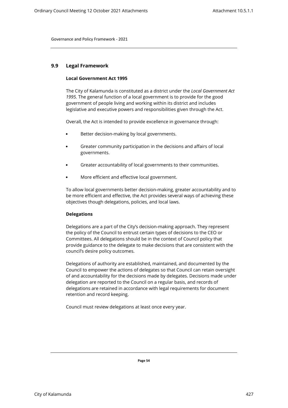# <span id="page-57-1"></span><span id="page-57-0"></span>**9.9 Legal Framework**

#### **Local Government Act 1995**

The City of Kalamunda is constituted as a district under the *Local Government Act 1995.* The general function of a local government is to provide for the good government of people living and working within its district and includes legislative and executive powers and responsibilities given through the Act.

Overall, the Act is intended to provide excellence in governance through:

- Better decision-making by local governments.
- Greater community participation in the decisions and affairs of local governments.
- Greater accountability of local governments to their communities.
- More efficient and effective local government.

To allow local governments better decision-making, greater accountability and to be more efficient and effective, the Act provides several ways of achieving these objectives though delegations, policies, and local laws.

#### <span id="page-57-2"></span>**Delegations**

Delegations are a part of the City's decision-making approach. They represent the policy of the Council to entrust certain types of decisions to the CEO or Committees. All delegations should be in the context of Council policy that provide guidance to the delegate to make decisions that are consistent with the council's desire policy outcomes.

Delegations of authority are established, maintained, and documented by the Council to empower the actions of delegates so that Council can retain oversight of and accountability for the decisions made by delegates. Decisions made under delegation are reported to the Council on a regular basis, and records of delegations are retained in accordance with legal requirements for document retention and record keeping.

Council must review delegations at least once every year.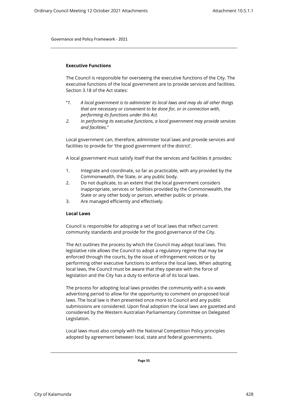#### <span id="page-58-0"></span>**Executive Functions**

The Council is responsible for overseeing the executive functions of the City. The executive functions of the local government are to provide services and facilities. Section 3.18 of the Act states:

- "*1. A local government is to administer its local laws and may do all other things that are necessary or convenient to be done for, or in connection with, performing its functions under this Act.*
- *2. In performing its executive functions, a local government may provide services and facilities.*"

Local government can, therefore, administer local laws and provide services and facilities to provide for 'the good government of the district'.

A local government must satisfy itself that the services and facilities it provides:

- 1. Integrate and coordinate, so far as practicable, with any provided by the Commonwealth, the State, or any public body.
- 2. Do not duplicate, to an extent that the local government considers inappropriate, services or facilities provided by the Commonwealth, the State or any other body or person, whether public or private.
- 3. Are managed efficiently and effectively.

#### <span id="page-58-1"></span>**Local Laws**

Council is responsible for adopting a set of local laws that reflect current community standards and provide for the good governance of the City.

The Act outlines the process by which the Council may adopt local laws. This legislative role allows the Council to adopt a regulatory regime that may be enforced through the courts, by the issue of infringement notices or by performing other executive functions to enforce the local laws. When adopting local laws, the Council must be aware that they operate with the force of legislation and the City has a duty to enforce all of its local laws.

The process for adopting local laws provides the community with a six-week advertising period to allow for the opportunity to comment on proposed local laws. The local law is then presented once more to Council and any public submissions are considered. Upon final adoption the local laws are gazetted and considered by the Western Australian Parliamentary Committee on Delegated Legislation.

Local laws must also comply with the National Competition Policy principles adopted by agreement between local, state and federal governments.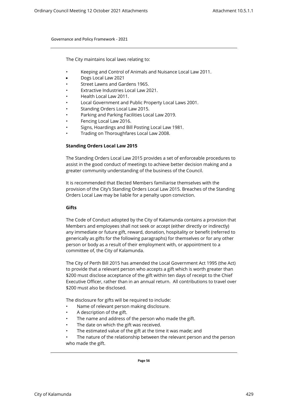The City maintains local laws relating to:

- Keeping and Control of Animals and Nuisance Local Law 2011.
- Dogs Local Law 2021
- Street Lawns and Gardens 1965.
- Extractive Industries Local Law 2021.
- Health Local Law 2011.
- Local Government and Public Property Local Laws 2001.
- Standing Orders Local Law 2015.
- Parking and Parking Facilities Local Law 2019.
- Fencing Local Law 2016.
- Signs, Hoardings and Bill Posting Local Law 1981.
- <span id="page-59-0"></span>• Trading on Thoroughfares Local Law 2008.

## **Standing Orders Local Law 2015**

The Standing Orders Local Law 2015 provides a set of enforceable procedures to assist in the good conduct of meetings to achieve better decision making and a greater community understanding of the business of the Council.

It is recommended that Elected Members familiarise themselves with the provision of the City's Standing Orders Local Law 2015. Breaches of the Standing Orders Local Law may be liable for a penalty upon conviction.

#### <span id="page-59-1"></span>**Gifts**

The Code of Conduct adopted by the City of Kalamunda contains a provision that Members and employees shall not seek or accept (either directly or indirectly) any immediate or future gift, reward, donation, hospitality or benefit (referred to generically as gifts for the following paragraphs) for themselves or for any other person or body as a result of their employment with, or appointment to a committee of, the City of Kalamunda.

The City of Perth Bill 2015 has amended the Local Government Act 1995 (the Act) to provide that a relevant person who accepts a gift which is worth greater than \$200 must disclose acceptance of the gift within ten days of receipt to the Chief Executive Officer, rather than in an annual return. All contributions to travel over \$200 must also be disclosed.

The disclosure for gifts will be required to include:

- Name of relevant person making disclosure.
- A description of the gift.
- The name and address of the person who made the gift.
- The date on which the gift was received.
- The estimated value of the gift at the time it was made; and
- The nature of the relationship between the relevant person and the person who made the gift.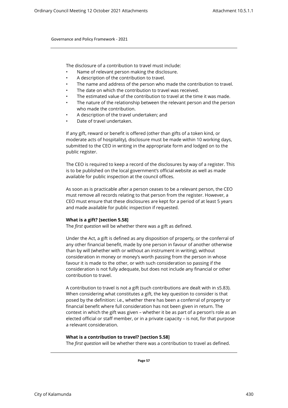The disclosure of a contribution to travel must include:

- Name of relevant person making the disclosure.
- A description of the contribution to travel.
- The name and address of the person who made the contribution to travel.
- The date on which the contribution to travel was received.
- The estimated value of the contribution to travel at the time it was made.
- The nature of the relationship between the relevant person and the person who made the contribution.
- A description of the travel undertaken; and
- Date of travel undertaken.

If any gift, reward or benefit is offered (other than gifts of a token kind, or moderate acts of hospitality), disclosure must be made within 10 working days, submitted to the CEO in writing in the appropriate form and lodged on to the public register.

The CEO is required to keep a record of the disclosures by way of a register. This is to be published on the local government's official website as well as made available for public inspection at the council offices.

As soon as is practicable after a person ceases to be a relevant person, the CEO must remove all records relating to that person from the register. However, a CEO must ensure that these disclosures are kept for a period of at least 5 years and made available for public inspection if requested.

#### **What is a gift? [section 5.58]**

The *first question* will be whether there was a gift as defined.

Under the Act, a gift is defined as any disposition of property, or the conferral of any other financial benefit, made by one person in favour of another otherwise than by will (whether with or without an instrument in writing), without consideration in money or money's worth passing from the person in whose favour it is made to the other, or with such consideration so passing if the consideration is not fully adequate, but does not include any financial or other contribution to travel.

A contribution to travel is not a gift (such contributions are dealt with in s5.83). When considering what constitutes a gift, the key question to consider is that posed by the definition: i.e., whether there has been a conferral of property or financial benefit where full consideration has not been given in return. The context in which the gift was given – whether it be as part of a person's role as an elected official or staff member, or in a private capacity – is not, for that purpose a relevant consideration.

#### **What is a contribution to travel? [section 5.58]**

The *first question* will be whether there was a contribution to travel as defined.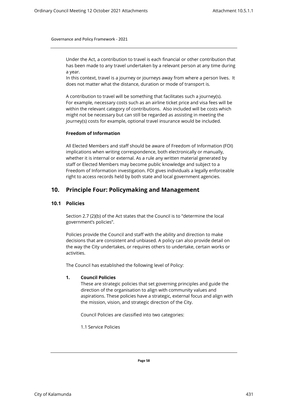Under the Act, a contribution to travel is each financial or other contribution that has been made to any travel undertaken by a relevant person at any time during a year.

In this context, travel is a journey or journeys away from where a person lives. It does not matter what the distance, duration or mode of transport is.

A contribution to travel will be something that facilitates such a journey(s). For example, necessary costs such as an airline ticket price and visa fees will be within the relevant category of contributions. Also included will be costs which might not be necessary but can still be regarded as assisting in meeting the journey(s) costs for example, optional travel insurance would be included.

#### <span id="page-61-0"></span>**Freedom of Information**

All Elected Members and staff should be aware of Freedom of Information (FOI) implications when writing correspondence, both electronically or manually, whether it is internal or external. As a rule any written material generated by staff or Elected Members may become public knowledge and subject to a Freedom of Information investigation. FOI gives individuals a legally enforceable right to access records held by both state and local government agencies.

# <span id="page-61-1"></span>**10. Principle Four: Policymaking and Management**

## <span id="page-61-2"></span>**10.1 Policies**

Section 2.7 (2)(b) of the Act states that the Council is to "determine the local government's policies".

Policies provide the Council and staff with the ability and direction to make decisions that are consistent and unbiased. A policy can also provide detail on the way the City undertakes, or requires others to undertake, certain works or activities.

The Council has established the following level of Policy:

#### **1. Council Policies**

These are strategic policies that set governing principles and guide the direction of the organisation to align with community values and aspirations. These policies have a strategic, external focus and align with the mission, vision, and strategic direction of the City.

Council Policies are classified into two categories:

1.1 Service Policies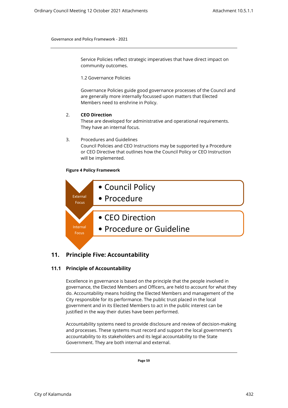Service Policies reflect strategic imperatives that have direct impact on community outcomes.

1.2 Governance Policies

Governance Policies guide good governance processes of the Council and are generally more internally focussed upon matters that Elected Members need to enshrine in Policy.

## 2. **CEO Direction**

These are developed for administrative and operational requirements. They have an internal focus.

#### 3. Procedures and Guidelines

Council Policies and CEO Instructions may be supported by a Procedure or CEO Directive that outlines how the Council Policy or CEO Instruction will be implemented.

#### **Figure 4 Policy Framework**



# **11. Principle Five: Accountability**

# <span id="page-62-1"></span><span id="page-62-0"></span>**11.1 Principle of Accountability**

Excellence in governance is based on the principle that the people involved in governance, the Elected Members and Officers, are held to account for what they do. Accountability means holding the Elected Members and management of the City responsible for its performance. The public trust placed in the local government and in its Elected Members to act in the public interest can be justified in the way their duties have been performed.

Accountability systems need to provide disclosure and review of decision-making and processes. These systems must record and support the local government's accountability to its stakeholders and its legal accountability to the State Government. They are both internal and external.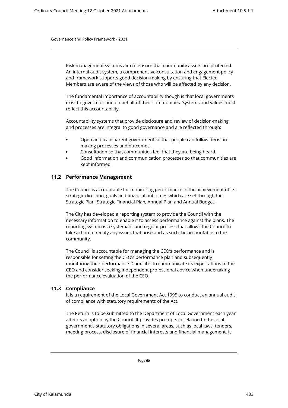Risk management systems aim to ensure that community assets are protected. An internal audit system, a comprehensive consultation and engagement policy and framework supports good decision-making by ensuring that Elected Members are aware of the views of those who will be affected by any decision.

The fundamental importance of accountability though is that local governments exist to govern for and on behalf of their communities. Systems and values must reflect this accountability.

Accountability systems that provide disclosure and review of decision-making and processes are integral to good governance and are reflected through:

- Open and transparent government so that people can follow decisionmaking processes and outcomes.
- Consultation so that communities feel that they are being heard.
- Good information and communication processes so that communities are kept informed.

# <span id="page-63-0"></span>**11.2 Performance Management**

The Council is accountable for monitoring performance in the achievement of its strategic direction, goals and financial outcomes which are set through the Strategic Plan, Strategic Financial Plan, Annual Plan and Annual Budget.

The City has developed a reporting system to provide the Council with the necessary information to enable it to assess performance against the plans. The reporting system is a systematic and regular process that allows the Council to take action to rectify any issues that arise and as such, be accountable to the community.

The Council is accountable for managing the CEO's performance and is responsible for setting the CEO's performance plan and subsequently monitoring their performance. Council is to communicate its expectations to the CEO and consider seeking independent professional advice when undertaking the performance evaluation of the CEO.

# <span id="page-63-1"></span>**11.3 Compliance**

It is a requirement of the Local Government Act 1995 to conduct an annual audit of compliance with statutory requirements of the Act.

The Return is to be submitted to the Department of Local Government each year after its adoption by the Council. It provides prompts in relation to the local government's statutory obligations in several areas, such as local laws, tenders, meeting process, disclosure of financial interests and financial management. It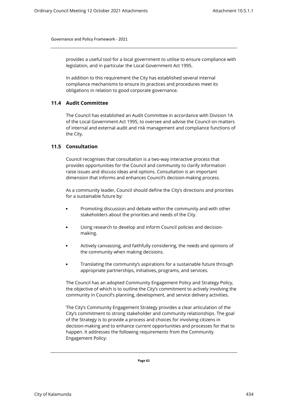provides a useful tool for a local government to utilise to ensure compliance with legislation, and in particular the Local Government Act 1995.

In addition to this requirement the City has established several internal compliance mechanisms to ensure its practices and procedures meet its obligations in relation to good corporate governance.

# <span id="page-64-0"></span>**11.4 Audit Committee**

The Council has established an Audit Committee in accordance with Division 1A of the Local Government Act 1995, to oversee and advise the Council on matters of internal and external audit and risk management and compliance functions of the City.

# <span id="page-64-1"></span>**11.5 Consultation**

Council recognises that consultation is a two-way interactive process that provides opportunities for the Council and community to clarify information raise issues and discuss ideas and options. Consultation is an important dimension that informs and enhances Council's decision-making process.

As a community leader, Council should define the City's directions and priorities for a sustainable future by:

- Promoting discussion and debate within the community and with other stakeholders about the priorities and needs of the City.
- Using research to develop and inform Council policies and decisionmaking.
- Actively canvassing, and faithfully considering, the needs and opinions of the community when making decisions.
- Translating the community's aspirations for a sustainable future through appropriate partnerships, initiatives, programs, and services.

The Council has an adopted Community Engagement Policy and Strategy Policy, the objective of which is to outline the City's commitment to actively involving the community in Council's planning, development, and service delivery activities.

The City's Community Engagement Strategy provides a clear articulation of the City's commitment to strong stakeholder and community relationships. The goal of the Strategy is to provide a process and choices for involving citizens in decision-making and to enhance current opportunities and processes for that to happen. It addresses the following requirements from the Community Engagement Policy: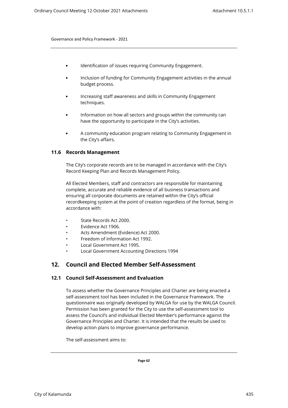- Identification of issues requiring Community Engagement.
- Inclusion of funding for Community Engagement activities in the annual budget process.
- Increasing staff awareness and skills in Community Engagement techniques.
- Information on how all sectors and groups within the community can have the opportunity to participate in the City's activities.
- A community education program relating to Community Engagement in the City's affairs.

#### <span id="page-65-0"></span>**11.6 Records Management**

The City's corporate records are to be managed in accordance with the City's Record Keeping Plan and Records Management Policy.

All Elected Members, staff and contractors are responsible for maintaining complete, accurate and reliable evidence of all business transactions and ensuring all corporate documents are retained within the City's official recordkeeping system at the point of creation regardless of the format, being in accordance with:

- State Records Act 2000.
- Evidence Act 1906.
- Acts Amendment (Evidence) Act 2000.
- Freedom of Information Act 1992.
- Local Government Act 1995.
- Local Government Accounting Directions 1994

# **12. Council and Elected Member Self-Assessment**

# <span id="page-65-2"></span><span id="page-65-1"></span>**12.1 Council Self-Assessment and Evaluation**

To assess whether the Governance Principles and Charter are being enacted a self-assessment tool has been included in the Governance Framework. The questionnaire was originally developed by WALGA for use by the WALGA Council. Permission has been granted for the City to use the self-assessment tool to assess the Council's and individual Elected Member's performance against the Governance Principles and Charter. It is intended that the results be used to develop action plans to improve governance performance.

The self-assessment aims to: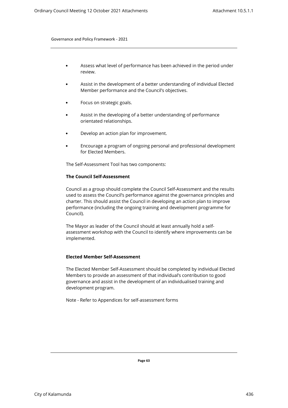- Assess what level of performance has been achieved in the period under review.
- Assist in the development of a better understanding of individual Elected Member performance and the Council's objectives.
- Focus on strategic goals.
- Assist in the developing of a better understanding of performance orientated relationships.
- Develop an action plan for improvement.
- Encourage a program of ongoing personal and professional development for Elected Members.

The Self-Assessment Tool has two components:

## **The Council Self-Assessment**

Council as a group should complete the Council Self-Assessment and the results used to assess the Council's performance against the governance principles and charter. This should assist the Council in developing an action plan to improve performance (including the ongoing training and development programme for Council).

The Mayor as leader of the Council should at least annually hold a selfassessment workshop with the Council to identify where improvements can be implemented.

#### **Elected Member Self-Assessment**

The Elected Member Self-Assessment should be completed by individual Elected Members to provide an assessment of that individual's contribution to good governance and assist in the development of an individualised training and development program.

Note - Refer to Appendices for self-assessment forms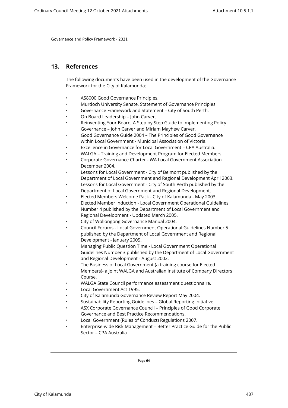# <span id="page-67-0"></span>**13. References**

The following documents have been used in the development of the Governance Framework for the City of Kalamunda:

- AS8000 Good Governance Principles.
- Murdoch University Senate, Statement of Governance Principles.
- Governance Framework and Statement City of South Perth.
- On Board Leadership John Carver.
- Reinventing Your Board, A Step by Step Guide to Implementing Policy Governance – John Carver and Miriam Mayhew Carver.
- Good Governance Guide 2004 The Principles of Good Governance within Local Government - Municipal Association of Victoria.
- Excellence in Governance for Local Government CPA Australia.
- WALGA Training and Development Program for Elected Members.
- Corporate Governance Charter WA Local Government Association December 2004.
- Lessons for Local Government City of Belmont published by the Department of Local Government and Regional Development April 2003.
- Lessons for Local Government City of South Perth published by the Department of Local Government and Regional Development.
- Elected Members Welcome Pack City of Kalamunda May 2003.
- Elected Member Induction Local Government Operational Guidelines Number 4 published by the Department of Local Government and Regional Development - Updated March 2005.
- City of Wollongong Governance Manual 2004.
- Council Forums Local Government Operational Guidelines Number 5 published by the Department of Local Government and Regional Development - January 2005.
- Managing Public Question Time Local Government Operational Guidelines Number 3 published by the Department of Local Government and Regional Development - August 2002.
- The Business of Local Government (a training course for Elected Members)- a joint WALGA and Australian Institute of Company Directors Course.
- WALGA State Council performance assessment questionnaire.
- Local Government Act 1995.
- City of Kalamunda Governance Review Report May 2004.
- Sustainability Reporting Guidelines Global Reporting Initiative.
- ASX Corporate Governance Council Principles of Good Corporate Governance and Best Practice Recommendations.
- Local Government (Rules of Conduct) Regulations 2007.
- Enterprise-wide Risk Management Better Practice Guide for the Public Sector – CPA Australia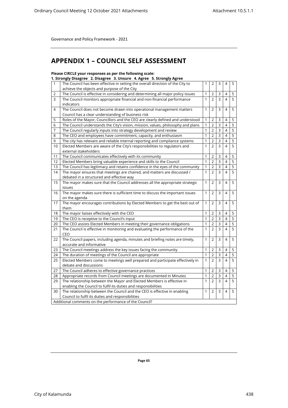# **APPENDIX 1 – COUNCIL SELF ASSESSMENT**

# **Please CIRCLE your responses as per the following scale:**

**1. Strongly Disagree 2. Disagree 3. Unsure 4. Agree 5. Strongly Agree**

| 1              | The Council has been effective in setting the overall direction of the City to         | 1                            | 2                                | 3              | 4              | 5              |
|----------------|----------------------------------------------------------------------------------------|------------------------------|----------------------------------|----------------|----------------|----------------|
|                | achieve the objects and purpose of the City                                            |                              |                                  |                |                |                |
| 2<br>3         | The Council is effective in considering and determining all major policy issues        | $\mathbf{1}$<br>$\mathbf{1}$ | $\overline{2}$<br>$\overline{2}$ | 3<br>3         | 4<br>4         | 5<br>5         |
|                | The Council monitors appropriate financial and non-financial performance<br>indicators |                              |                                  |                |                |                |
| $\overline{4}$ | The Council does not become drawn into operational management matters                  | 1                            | $\overline{2}$                   | 3              | 4              | 5              |
|                | Council has a clear understanding of business risk                                     |                              |                                  |                |                |                |
| 5              | Roles of the Mayor, Councillors and the CEO are clearly defined and understood         | $\mathbf{1}$                 | $\overline{2}$                   | 3              | 4              | 5              |
| 6              | The Council understands the City's vision, mission, values, philosophy and plans       | $\mathbf{1}$                 | $\overline{2}$                   | $\overline{3}$ | 4              | 5              |
| 7              | The Council regularly inputs into strategy development and review                      | 1                            | $\overline{2}$                   | 3              | 4              | 5              |
| 8              | The CEO and employees have commitment, capacity, and enthusiasm                        | $\mathbf{1}$                 | $\overline{2}$                   | $\overline{3}$ | $\overline{4}$ | $\overline{5}$ |
| 9              | The city has relevant and reliable internal reporting and compliance systems           | 1                            | $\overline{2}$                   | $\overline{3}$ | 4              | 5              |
| 10             | Elected Members are aware of the City's responsibilities to regulators and             | $\mathbf{1}$                 | $\overline{2}$                   | $\overline{3}$ | 4              | 5              |
|                | external stakeholders                                                                  |                              |                                  |                |                |                |
| 11             | The Council communicates effectively with its community                                | $\mathbf{1}$                 | $\overline{2}$                   | $\overline{3}$ | 4              | 5              |
| 12             | Elected Members bring valuable experience and skills to the Council                    | $\mathbf{1}$                 | $\overline{2}$                   | $\overline{3}$ | $\overline{4}$ | 5              |
| 13             | The Council has legitimacy and retains confidence in the eyes of the community         | $\mathbf{1}$                 | $\overline{2}$                   | $\mathsf{3}$   | 4              | 5              |
| 14             | The mayor ensures that meetings are chaired, and matters are discussed /               | $\mathbf{1}$                 | $\overline{2}$                   | $\overline{3}$ | 4              | $\overline{5}$ |
|                | debated in a structured and effective way                                              |                              |                                  |                |                |                |
| 15             | The mayor makes sure that the Council addresses all the appropriate strategic          | $\mathbf{1}$                 | $\overline{2}$                   | 3              | 4              | 5              |
|                | issues                                                                                 |                              |                                  |                |                |                |
| 16             | The mayor makes sure there is sufficient time to discuss the important issues          | $\mathbf{1}$                 | $\overline{2}$                   | 3              | 4              | 5              |
|                | on the agenda                                                                          |                              |                                  |                |                |                |
| 17             | The mayor encourages contributions by Elected Members to get the best out of           | $\mathbf{1}$                 | $\overline{2}$                   | 3              | 4              | 5              |
|                | them                                                                                   |                              |                                  |                |                |                |
| 18             | The mayor liaises effectively with the CEO                                             | $\mathbf{1}$                 | $\overline{2}$                   | $\mathsf 3$    | 4              | 5              |
| 19             | The CEO is receptive to the Council's input                                            | 1                            | $\overline{2}$                   | $\overline{3}$ | $\overline{4}$ | 5              |
| 20             | The CEO assists Elected Members in meeting their governance obligations                | $\mathbf{1}$                 | $\overline{2}$                   | $\overline{3}$ | $\overline{4}$ | $\overline{5}$ |
| 21             | The Council is effective in monitoring and evaluating the performance of the           | $\mathbf{1}$                 | $\overline{2}$                   | $\overline{3}$ | 4              | 5              |
|                | CEO                                                                                    |                              |                                  |                |                |                |
| 22             | The Council papers, including agenda, minutes and briefing notes are timely,           | 1                            | 2                                | 3              | 4              | 5              |
|                | accurate and informative                                                               |                              |                                  |                |                |                |
| 23             | The Council meetings address the key issues facing the community                       | $\mathbf{1}$                 | $\overline{2}$                   | 3              | 4              | 5              |
| 24             | The duration of meetings of the Council are appropriate                                | $\mathbf{1}$                 | $\overline{2}$                   | $\mathsf{3}$   | 4              | 5              |
| 25             | Elected Members come to meetings well prepared and participate effectively in          | $\mathbf{1}$                 | $\overline{2}$                   | 3              | $\overline{4}$ | 5              |
|                | debate and discussions                                                                 |                              |                                  |                |                |                |
| 27             | The Council adheres to effective governance practices                                  | $\mathbf{1}$                 | $\overline{2}$                   | 3              | $\overline{4}$ | 5              |
| 28             | Appropriate records from Council meetings are documented in Minutes                    | 1                            | $\overline{2}$                   | 3              | 4              | 5              |
| 29             | The relationship between the Mayor and Elected Members is effective in                 | $\mathbf{1}$                 | $\overline{2}$                   | $\mathsf{3}$   | $\overline{4}$ | $\overline{5}$ |
|                | enabling the Council to fulfil its duties and responsibilities                         |                              |                                  |                |                |                |
| 30             | The relationship between the Council and the CEO is effective in enabling              | $\mathbf{1}$                 | $\overline{2}$                   | $\mathsf{3}$   | 4              | 5              |
|                | Council to fulfil its duties and responsibilities                                      |                              |                                  |                |                |                |
|                | Additional comments on the performance of the Council?                                 |                              |                                  |                |                |                |